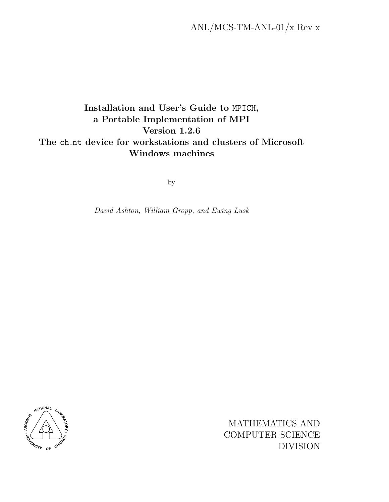# Installation and User's Guide to MPICH, a Portable Implementation of MPI Version 1.2.6 The ch nt device for workstations and clusters of Microsoft Windows machines

by

David Ashton, William Gropp, and Ewing Lusk



MATHEMATICS AND COMPUTER SCIENCE DIVISION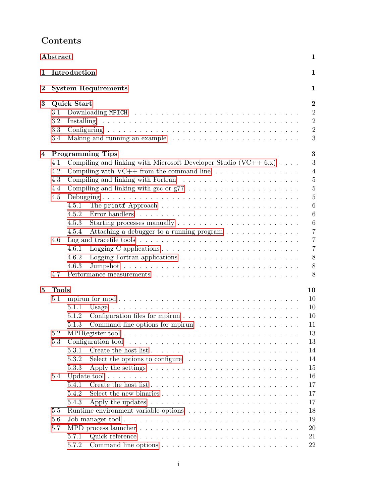|                  | Abstract<br>1                                                                                                                                                                                                                                                                                                                                                            |                                                                                                                                                                                                                                                                                                                                                                                                                                                                                                                                                             |  |
|------------------|--------------------------------------------------------------------------------------------------------------------------------------------------------------------------------------------------------------------------------------------------------------------------------------------------------------------------------------------------------------------------|-------------------------------------------------------------------------------------------------------------------------------------------------------------------------------------------------------------------------------------------------------------------------------------------------------------------------------------------------------------------------------------------------------------------------------------------------------------------------------------------------------------------------------------------------------------|--|
| 1                | Introduction                                                                                                                                                                                                                                                                                                                                                             | 1                                                                                                                                                                                                                                                                                                                                                                                                                                                                                                                                                           |  |
| $\boldsymbol{2}$ | <b>System Requirements</b>                                                                                                                                                                                                                                                                                                                                               | 1                                                                                                                                                                                                                                                                                                                                                                                                                                                                                                                                                           |  |
| 3                | Quick Start<br>3.1<br>$3.2\,$<br>3.3<br>3.4<br>Making and running an example $\ldots \ldots \ldots \ldots \ldots \ldots \ldots \ldots$                                                                                                                                                                                                                                   | $\bf{2}$<br>$\overline{2}$<br>$\overline{2}$<br>$\overline{2}$<br>$\boldsymbol{3}$                                                                                                                                                                                                                                                                                                                                                                                                                                                                          |  |
| 4                | <b>Programming Tips</b><br>Compiling and linking with Microsoft Developer Studio $(VC++ 6x) \dots$ .<br>4.1<br>Compiling with $VC++$ from the command line $\ldots \ldots \ldots \ldots \ldots$<br>4.2<br>4.3<br>4.4<br>4.5<br>4.5.1<br>4.5.2<br>4.5.3<br>4.5.4<br>4.6<br>4.6.1<br>4.6.2<br>4.6.3<br>4.7                                                                 | $\bf{3}$<br>3<br>$\overline{4}$<br>$\bf 5$<br>$\overline{5}$<br>$\overline{5}$<br>6<br>$6\phantom{.}6$<br>$\,6\,$<br>Starting processes manually $\dots \dots \dots \dots \dots \dots \dots \dots$<br>Attaching a debugger to a running program $\ldots \ldots \ldots \ldots \ldots$<br>$\overline{7}$<br>$\overline{7}$<br>$\overline{7}$<br>8<br>Logging Fortran applications $\ldots \ldots \ldots \ldots \ldots \ldots \ldots$<br>8<br>8                                                                                                                |  |
| 5                | <b>Tools</b><br>5.1<br>5.1.1<br>5.1.2<br>5.1.3<br>5.2<br>5.3<br>5.3.1<br>5.3.2<br>5.3.3<br>Update tool $\ldots \ldots \ldots \ldots \ldots \ldots \ldots \ldots \ldots \ldots \ldots \ldots$<br>5.4<br>5.4.1<br>5.4.2<br>5.4.3<br>5.5<br>5.6<br>Job manager tool $\ldots \ldots \ldots \ldots \ldots \ldots \ldots \ldots \ldots \ldots \ldots$<br>5.7<br>5.7.1<br>5.7.2 | 10<br>10<br>10<br>10<br>Command line options for mpirun $\dots \dots \dots \dots \dots \dots$<br>11<br>13<br>13<br>14<br>Select the options to configure $\dots \dots \dots \dots \dots \dots \dots \dots$<br>14<br>15<br>Apply the settings $\dots \dots \dots \dots \dots \dots \dots \dots \dots \dots \dots$<br>16<br>17<br>Select the new binaries $\ldots \ldots \ldots \ldots \ldots \ldots \ldots \ldots \ldots$<br>17<br>17<br>Apply the updates $\dots \dots \dots \dots \dots \dots \dots \dots \dots \dots \dots$<br>18<br>19<br>20<br>21<br>22 |  |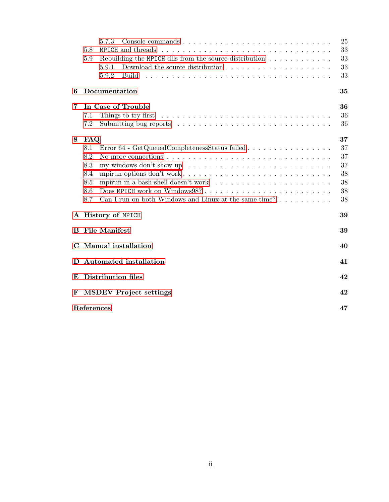|              |                            | 5.7.3                                                                                                     | 25 |  |
|--------------|----------------------------|-----------------------------------------------------------------------------------------------------------|----|--|
|              | 5.8                        | MPICH and threads                                                                                         | 33 |  |
|              | 5.9                        | Rebuilding the MPICH dlls from the source distribution $\dots \dots \dots \dots$                          | 33 |  |
|              |                            | Download the source distribution $\ldots \ldots \ldots \ldots \ldots \ldots$<br>5.9.1                     | 33 |  |
|              |                            | 5.9.2<br><b>Build</b>                                                                                     | 33 |  |
| 6            |                            | Documentation                                                                                             | 35 |  |
| 7            |                            | In Case of Trouble                                                                                        | 36 |  |
|              | 7.1                        | Things to try first $\dots \dots \dots \dots \dots \dots \dots \dots \dots \dots \dots \dots \dots \dots$ | 36 |  |
|              | 7.2                        |                                                                                                           | 36 |  |
| 8            | FAQ                        |                                                                                                           | 37 |  |
|              | 8.1                        | Error 64 - GetQueuedCompletenessStatus failed                                                             | 37 |  |
|              | 8.2                        | No more connections $\dots \dots \dots \dots \dots \dots \dots \dots \dots \dots \dots \dots \dots$       | 37 |  |
|              | 8.3                        | my windows don't show up $\ldots \ldots \ldots \ldots \ldots \ldots \ldots \ldots \ldots \ldots$          | 37 |  |
|              | 8.4                        |                                                                                                           | 38 |  |
|              | 8.5                        |                                                                                                           | 38 |  |
|              | 8.6                        |                                                                                                           | 38 |  |
|              | 8.7                        | Can I run on both Windows and Linux at the same time? $\dots \dots \dots$                                 | 38 |  |
|              |                            | A History of MPICH                                                                                        | 39 |  |
| B            | <b>File Manifest</b><br>39 |                                                                                                           |    |  |
| C            |                            | <b>Manual</b> installation                                                                                | 40 |  |
| $\mathbf{D}$ |                            | Automated installation                                                                                    | 41 |  |
| E            |                            | Distribution files                                                                                        | 42 |  |
| F            |                            | <b>MSDEV</b> Project settings                                                                             | 42 |  |
|              | References                 |                                                                                                           | 47 |  |
|              |                            |                                                                                                           |    |  |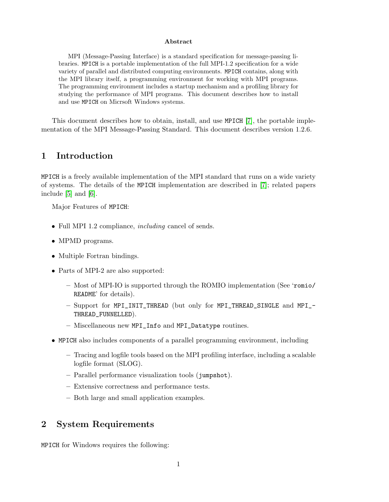#### Abstract

<span id="page-4-0"></span>MPI (Message-Passing Interface) is a standard specification for message-passing libraries. MPICH is a portable implementation of the full MPI-1.2 specification for a wide variety of parallel and distributed computing environments. MPICH contains, along with the MPI library itself, a programming environment for working with MPI programs. The programming environment includes a startup mechanism and a profiling library for studying the performance of MPI programs. This document describes how to install and use MPICH on Micrsoft Windows systems.

This document describes how to obtain, install, and use MPICH [\[7\]](#page-50-0), the portable implementation of the MPI Message-Passing Standard. This document describes version 1.2.6.

# 1 Introduction

MPICH is a freely available implementation of the MPI standard that runs on a wide variety of systems. The details of the MPICH implementation are described in [\[7\]](#page-50-0); related papers include [\[5\]](#page-50-0) and [\[6\]](#page-50-0).

Major Features of MPICH:

- Full MPI 1.2 compliance, *including* cancel of sends.
- MPMD programs.
- Multiple Fortran bindings.
- Parts of MPI-2 are also supported:
	- Most of MPI-IO is supported through the ROMIO implementation (See 'romio/ README' for details).
	- Support for MPI\_INIT\_THREAD (but only for MPI\_THREAD\_SINGLE and MPI\_- THREAD\_FUNNELLED).
	- Miscellaneous new MPI\_Info and MPI\_Datatype routines.
- MPICH also includes components of a parallel programming environment, including
	- Tracing and logfile tools based on the MPI profiling interface, including a scalable logfile format (SLOG).
	- Parallel performance visualization tools (jumpshot).
	- Extensive correctness and performance tests.
	- Both large and small application examples.

# 2 System Requirements

MPICH for Windows requires the following: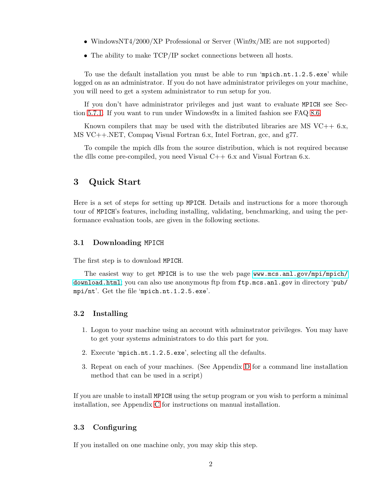- <span id="page-5-0"></span>• WindowsNT4/2000/XP Professional or Server (Win9x/ME are not supported)
- The ability to make TCP/IP socket connections between all hosts.

To use the default installation you must be able to run 'mpich.nt.1.2.5.exe' while logged on as an administrator. If you do not have administrator privileges on your machine, you will need to get a system administrator to run setup for you.

If you don't have administrator privileges and just want to evaluate MPICH see Section [5.7.1.](#page-25-0) If you want to run under Windows9x in a limited fashion see FAQ [8.6.](#page-41-0)

Known compilers that may be used with the distributed libraries are MS  $VC++ 6.x$ , MS VC++.NET, Compaq Visual Fortran 6.x, Intel Fortran, gcc, and g77.

To compile the mpich dlls from the source distribution, which is not required because the dlls come pre-compiled, you need Visual  $C++6.x$  and Visual Fortran 6.x.

# 3 Quick Start

Here is a set of steps for setting up MPICH. Details and instructions for a more thorough tour of MPICH's features, including installing, validating, benchmarking, and using the performance evaluation tools, are given in the following sections.

## 3.1 Downloading MPICH

The first step is to download MPICH.

The easiest way to get MPICH is to use the web page [www.mcs.anl.gov/mpi/mpich/](www.mcs.anl.gov/mpi/mpich/download.html) [download.html](www.mcs.anl.gov/mpi/mpich/download.html); you can also use anonymous ftp from ftp.mcs.anl.gov in directory 'pub/ mpi/nt'. Get the file 'mpich.nt.1.2.5.exe'.

# 3.2 Installing

- 1. Logon to your machine using an account with adminstrator privileges. You may have to get your systems administrators to do this part for you.
- 2. Execute 'mpich.nt.1.2.5.exe', selecting all the defaults.
- 3. Repeat on each of your machines. (See Appendix [D](#page-44-0) for a command line installation method that can be used in a script)

If you are unable to install MPICH using the setup program or you wish to perform a minimal installation, see Appendix [C](#page-43-0) for instructions on manual installation.

# 3.3 Configuring

If you installed on one machine only, you may skip this step.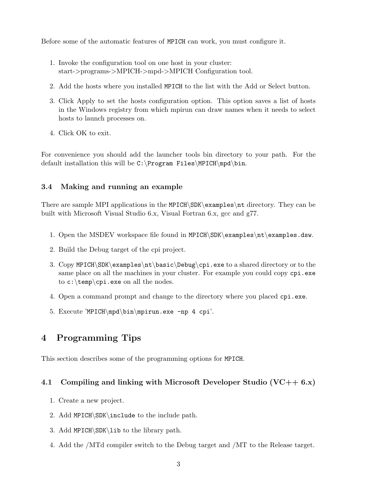<span id="page-6-0"></span>Before some of the automatic features of MPICH can work, you must configure it.

- 1. Invoke the configuration tool on one host in your cluster: start->programs->MPICH->mpd->MPICH Configuration tool.
- 2. Add the hosts where you installed MPICH to the list with the Add or Select button.
- 3. Click Apply to set the hosts configuration option. This option saves a list of hosts in the Windows registry from which mpirun can draw names when it needs to select hosts to launch processes on.
- 4. Click OK to exit.

For convenience you should add the launcher tools bin directory to your path. For the default installation this will be  $C:\PProgram$  Files\MPICH\mpd\bin.

# 3.4 Making and running an example

There are sample MPI applications in the MPICH\SDK\examples\nt directory. They can be built with Microsoft Visual Studio 6.x, Visual Fortran 6.x, gcc and g77.

- 1. Open the MSDEV workspace file found in MPICH\SDK\examples\nt\examples.dsw.
- 2. Build the Debug target of the cpi project.
- 3. Copy MPICH\SDK\examples\nt\basic\Debug\cpi.exe to a shared directory or to the same place on all the machines in your cluster. For example you could copy  $\text{cpi}$ .exe to c:\temp\cpi.exe on all the nodes.
- 4. Open a command prompt and change to the directory where you placed cpi.exe.
- 5. Execute 'MPICH\mpd\bin\mpirun.exe -np 4 cpi'.

# 4 Programming Tips

This section describes some of the programming options for MPICH.

### 4.1 Compiling and linking with Microsoft Developer Studio  $(VC++ 6.x)$

- 1. Create a new project.
- 2. Add MPICH\SDK\include to the include path.
- 3. Add MPICH\SDK\lib to the library path.
- 4. Add the /MTd compiler switch to the Debug target and /MT to the Release target.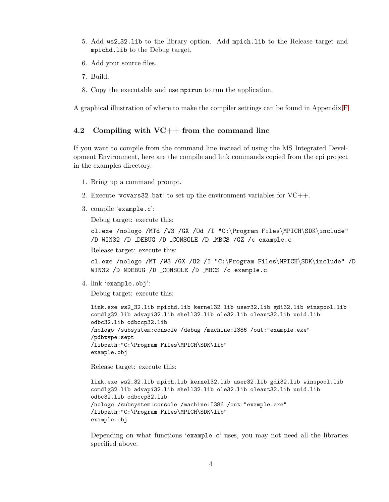- <span id="page-7-0"></span>5. Add ws2 32.lib to the library option. Add mpich.lib to the Release target and mpichd.lib to the Debug target.
- 6. Add your source files.
- 7. Build.
- 8. Copy the executable and use mpirun to run the application.

A graphical illustration of where to make the compiler settings can be found in Appendix [F](#page-45-0)

## 4.2 Compiling with VC++ from the command line

If you want to compile from the command line instead of using the MS Integrated Development Environment, here are the compile and link commands copied from the cpi project in the examples directory.

- 1. Bring up a command prompt.
- 2. Execute 'vcvars32.bat' to set up the environment variables for  $VC++$ .
- 3. compile 'example.c':

Debug target: execute this:

cl.exe /nologo /MTd /W3 /GX /Od /I "C:\Program Files\MPICH\SDK\include" /D WIN32 /D DEBUG /D CONSOLE /D MBCS /GZ /c example.c

Release target: execute this:

cl.exe /nologo /MT /W3 /GX /O2 /I "C:\Program Files\MPICH\SDK\include" /D WIN32 /D NDEBUG /D CONSOLE /D MBCS /c example.c

4. link 'example.obj':

Debug target: execute this:

```
link.exe ws2_32.lib mpichd.lib kernel32.lib user32.lib gdi32.lib winspool.lib
comdlg32.lib advapi32.lib shell32.lib ole32.lib oleaut32.lib uuid.lib
odbc32.lib odbccp32.lib
/nologo /subsystem:console /debug /machine:I386 /out:"example.exe"
/pdbtype:sept
/libpath:"C:\Program Files\MPICH\SDK\lib"
example.obj
```
Release target: execute this:

```
link.exe ws2_32.lib mpich.lib kernel32.lib user32.lib gdi32.lib winspool.lib
comdlg32.lib advapi32.lib shell32.lib ole32.lib oleaut32.lib uuid.lib
odbc32.lib odbccp32.lib
/nologo /subsystem:console /machine:I386 /out:"example.exe"
/libpath:"C:\Program Files\MPICH\SDK\lib"
example.obj
```
Depending on what functions 'example.c' uses, you may not need all the libraries specified above.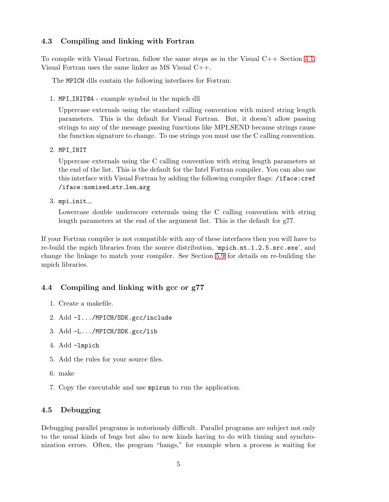# <span id="page-8-0"></span>4.3 Compiling and linking with Fortran

To compile with Visual Fortran, follow the same steps as in the Visual C++ Section [4.1.](#page-6-0) Visual Fortran uses the same linker as MS Visual C++.

The MPICH dlls contain the following interfaces for Fortran:

1. MPI INIT@4 - example symbol in the mpich dll

Uppercase externals using the standard calling convention with mixed string length parameters. This is the default for Visual Fortran. But, it doesn't allow passing strings to any of the message passing functions like MPI SEND because strings cause the function signature to change. To use strings you must use the C calling convention.

2. MPI\_INIT

Uppercase externals using the C calling convention with string length parameters at the end of the list. This is the default for the Intel Fortran compiler. You can also use this interface with Visual Fortran by adding the following compiler flags: /iface:cref /iface:nomixed str len arg

 $3.$  mpi\_init\_

Lowercase double underscore externals using the C calling convention with string length parameters at the end of the argument list. This is the default for g77.

If your Fortran compiler is not compatible with any of these interfaces then you will have to re-build the mpich libraries from the source distribution, 'mpich.nt.1.2.5.src.exe', and change the linkage to match your compiler. See Section [5.9](#page-36-0) for details on re-building the mpich libraries.

# 4.4 Compiling and linking with gcc or g77

- 1. Create a makefile.
- 2. Add -I.../MPICH/SDK.gcc/include
- 3. Add -L.../MPICH/SDK.gcc/lib
- 4. Add -lmpich
- 5. Add the rules for your source files.
- 6. make
- 7. Copy the executable and use mpirun to run the application.

# 4.5 Debugging

Debugging parallel programs is notoriously difficult. Parallel programs are subject not only to the usual kinds of bugs but also to new kinds having to do with timing and synchronization errors. Often, the program "hangs," for example when a process is waiting for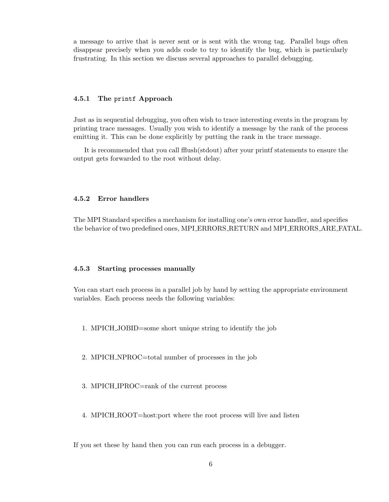<span id="page-9-0"></span>a message to arrive that is never sent or is sent with the wrong tag. Parallel bugs often disappear precisely when you adds code to try to identify the bug, which is particularly frustrating. In this section we discuss several approaches to parallel debugging.

## 4.5.1 The printf Approach

Just as in sequential debugging, you often wish to trace interesting events in the program by printing trace messages. Usually you wish to identify a message by the rank of the process emitting it. This can be done explicitly by putting the rank in the trace message.

It is recommended that you call fflush(stdout) after your printf statements to ensure the output gets forwarded to the root without delay.

## 4.5.2 Error handlers

The MPI Standard specifies a mechanism for installing one's own error handler, and specifies the behavior of two predefined ones, MPI ERRORS RETURN and MPI ERRORS ARE FATAL.

#### 4.5.3 Starting processes manually

You can start each process in a parallel job by hand by setting the appropriate environment variables. Each process needs the following variables:

- 1. MPICH JOBID=some short unique string to identify the job
- 2. MPICH NPROC=total number of processes in the job
- 3. MPICH IPROC=rank of the current process
- 4. MPICH ROOT=host:port where the root process will live and listen

If you set these by hand then you can run each process in a debugger.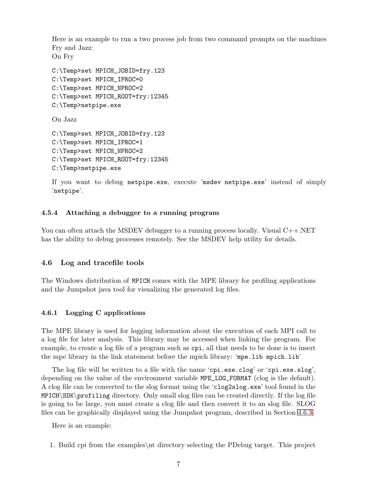<span id="page-10-0"></span>Here is an example to run a two process job from two command prompts on the machines Fry and Jazz: On Fry C:\Temp>set MPICH\_JOBID=fry.123 C:\Temp>set MPICH\_IPROC=0 C:\Temp>set MPICH\_NPROC=2 C:\Temp>set MPICH\_ROOT=fry:12345 C:\Temp>netpipe.exe On Jazz C:\Temp>set MPICH\_JOBID=fry.123 C:\Temp>set MPICH\_IPROC=1 C:\Temp>set MPICH\_NPROC=2 C:\Temp>set MPICH\_ROOT=fry:12345 C:\Temp>netpipe.exe If you want to debug netpipe.exe, execute 'msdev netpipe.exe' instead of simply

'netpipe'.

# 4.5.4 Attaching a debugger to a running program

You can often attach the MSDEV debugger to a running process locally. Visual C++.NET has the ability to debug processes remotely. See the MSDEV help utility for details.

## 4.6 Log and tracefile tools

The Windows distribution of MPICH comes with the MPE library for profiling applications and the Jumpshot java tool for visualizing the generated log files.

# 4.6.1 Logging C applications

The MPE library is used for logging information about the execution of each MPI call to a log file for later analysis. This library may be accessed when linking the program. For example, to create a log file of a program such as cpi, all that needs to be done is to insert the mpe library in the link statement before the mpich library: 'mpe.lib mpich.lib'

The log file will be written to a file with the name 'cpi.exe.clog' or 'cpi.exe.slog', depending on the value of the environment variable MPE\_LOG\_FORMAT (clog is the default). A clog file can be converted to the slog format using the 'clog2slog.exe' tool found in the MPICH\SDK\profiling directory. Only small slog files can be created directly. If the log file is going to be large, you must create a clog file and then convert it to an slog file. SLOG files can be graphically displayed using the Jumpshot program, described in Section [4.6.3.](#page-11-0)

Here is an example:

1. Build cpi from the examples\nt directory selecting the PDebug target. This project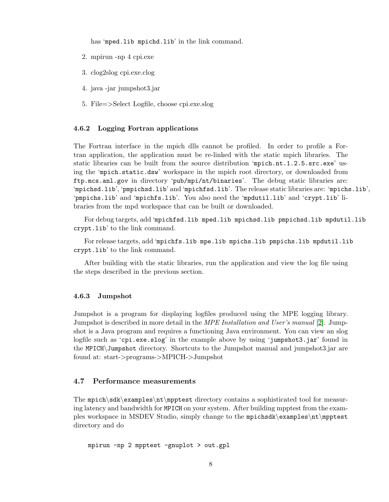has 'mped.lib mpichd.lib' in the link command.

- <span id="page-11-0"></span>2. mpirun -np 4 cpi.exe
- 3. clog2slog cpi.exe.clog
- 4. java -jar jumpshot3.jar
- 5. File=>Select Logfile, choose cpi.exe.slog

#### 4.6.2 Logging Fortran applications

The Fortran interface in the mpich dlls cannot be profiled. In order to profile a Fortran application, the application must be re-linked with the static mpich libraries. The static libraries can be built from the source distribution 'mpich.nt.1.2.5.src.exe' using the 'mpich.static.dsw' workspace in the mpich root directory, or downloaded from ftp.mcs.anl.gov in directory 'pub/mpi/nt/binaries'. The debug static libraries are: 'mpichsd.lib', 'pmpichsd.lib' and 'mpichfsd.lib'. The release static libraries are: 'mpichs.lib', 'pmpichs.lib' and 'mpichfs.lib'. You also need the 'mpdutil.lib' and 'crypt.lib' libraries from the mpd workspace that can be built or downloaded.

For debug targets, add 'mpichfsd.lib mped.lib mpichsd.lib pmpichsd.lib mpdutil.lib crypt.lib' to the link command.

For release targets, add 'mpichfs.lib mpe.lib mpichs.lib pmpichs.lib mpdutil.lib crypt.lib' to the link command.

After building with the static libraries, run the application and view the log file using the steps described in the previous section.

#### 4.6.3 Jumpshot

Jumpshot is a program for displaying logfiles produced using the MPE logging library. Jumpshot is described in more detail in the *MPE Installation and User's manual* [\[2\]](#page-50-0). Jumpshot is a Java program and requires a functioning Java environment. You can view an slog logfile such as 'cpi.exe.slog' in the example above by using 'jumpshot3.jar' found in the MPICH\Jumpshot directory. Shortcuts to the Jumpshot manual and jumpshot3.jar are found at: start->programs->MPICH->Jumpshot

# 4.7 Performance measurements

The mpich\sdk\examples\nt\mpptest directory contains a sophisticated tool for measuring latency and bandwidth for MPICH on your system. After building mpptest from the examples workspace in MSDEV Studio, simply change to the mpichsdk\examples\nt\mpptest directory and do

mpirun -np 2 mpptest -gnuplot > out.gpl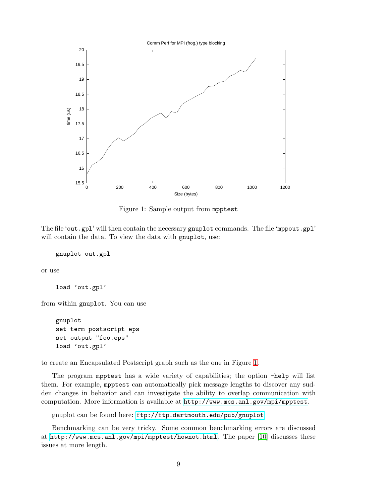

Figure 1: Sample output from mpptest

The file 'out.gpl' will then contain the necessary gnuplot commands. The file 'mppout.gpl' will contain the data. To view the data with gnuplot, use:

gnuplot out.gpl

or use

load 'out.gpl'

from within gnuplot. You can use

gnuplot set term postscript eps set output "foo.eps" load 'out.gpl'

to create an Encapsulated Postscript graph such as the one in Figure 1.

The program mpptest has a wide variety of capabilities; the option -help will list them. For example, mpptest can automatically pick message lengths to discover any sudden changes in behavior and can investigate the ability to overlap communication with computation. More information is available at <http://www.mcs.anl.gov/mpi/mpptest>.

gnuplot can be found here: <ftp://ftp.dartmouth.edu/pub/gnuplot>

Benchmarking can be very tricky. Some common benchmarking errors are discussed at <http://www.mcs.anl.gov/mpi/mpptest/hownot.html>. The paper [\[10\]](#page-50-0) discusses these issues at more length.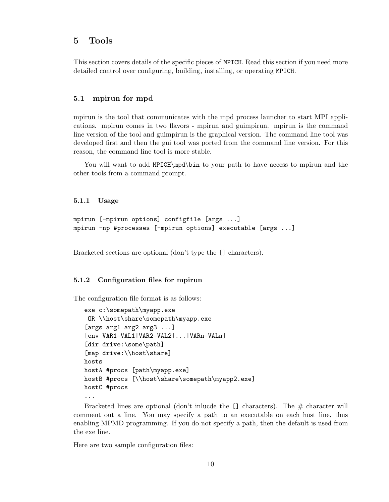# <span id="page-13-0"></span>5 Tools

This section covers details of the specific pieces of MPICH. Read this section if you need more detailed control over configuring, building, installing, or operating MPICH.

## 5.1 mpirun for mpd

mpirun is the tool that communicates with the mpd process launcher to start MPI applications. mpirun comes in two flavors - mpirun and guimpirun. mpirun is the command line version of the tool and guimpirun is the graphical version. The command line tool was developed first and then the gui tool was ported from the command line version. For this reason, the command line tool is more stable.

You will want to add MPICH\mpd\bin to your path to have access to mpirun and the other tools from a command prompt.

5.1.1 Usage

```
mpirun [-mpirun options] configfile [args ...]
mpirun -np #processes [-mpirun options] executable [args ...]
```
Bracketed sections are optional (don't type the [] characters).

### 5.1.2 Configuration files for mpirun

The configuration file format is as follows:

```
exe c:\somepath\myapp.exe
 OR \\host\share\somepath\myapp.exe
[args arg1 arg2 arg3 ...]
[env VAR1=VAL1|VAR2=VAL2|...|VARn=VALn]
[dir drive:\some\path]
[map drive:\\host\share]
hosts
hostA #procs [path\myapp.exe]
hostB #procs [\\host\share\somepath\myapp2.exe]
hostC #procs
...
```
Bracketed lines are optional (don't inlucde the  $\Box$  characters). The  $\#$  character will comment out a line. You may specify a path to an executable on each host line, thus enabling MPMD programming. If you do not specify a path, then the default is used from the exe line.

Here are two sample configuration files: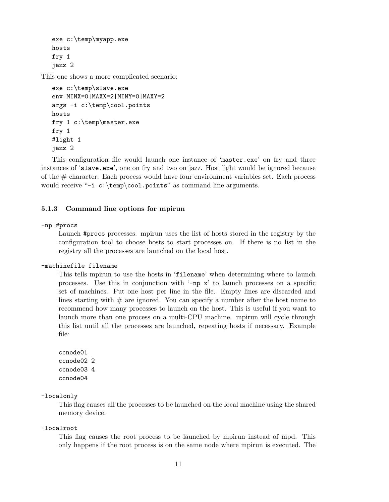```
exe c:\temp\myapp.exe
hosts
fry 1
jazz 2
```
This one shows a more complicated scenario:

```
exe c:\temp\slave.exe
env MINX=0|MAXX=2|MINY=0|MAXY=2
args -i c:\temp\cool.points
hosts
fry 1 c:\temp\master.exe
fry 1
#light 1
jazz 2
```
This configuration file would launch one instance of 'master.exe' on fry and three instances of 'slave.exe', one on fry and two on jazz. Host light would be ignored because of the # character. Each process would have four environment variables set. Each process would receive "-i  $c:\temp\cool.points"$  as command line arguments.

## 5.1.3 Command line options for mpirun

#### -np #procs

Launch #procs processes. mpirun uses the list of hosts stored in the registry by the configuration tool to choose hosts to start processes on. If there is no list in the registry all the processes are launched on the local host.

#### -machinefile filename

This tells mpirun to use the hosts in 'filename' when determining where to launch processes. Use this in conjunction with  $-\text{np } x$  to launch processes on a specific set of machines. Put one host per line in the file. Empty lines are discarded and lines starting with  $#$  are ignored. You can specify a number after the host name to recommend how many processes to launch on the host. This is useful if you want to launch more than one process on a multi-CPU machine. mpirun will cycle through this list until all the processes are launched, repeating hosts if necessary. Example file:

ccnode01 ccnode02 2 ccnode03 4 ccnode04

# -localonly

This flag causes all the processes to be launched on the local machine using the shared memory device.

-localroot

This flag causes the root process to be launched by mpirun instead of mpd. This only happens if the root process is on the same node where mpirun is executed. The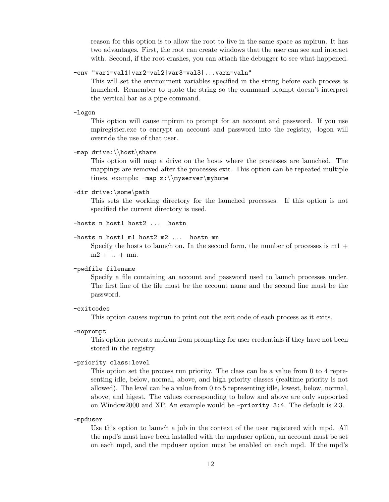reason for this option is to allow the root to live in the same space as mpirun. It has two advantages. First, the root can create windows that the user can see and interact with. Second, if the root crashes, you can attach the debugger to see what happened.

-env "var1=val1|var2=val2|var3=val3|...varn=valn"

This will set the environment variables specified in the string before each process is launched. Remember to quote the string so the command prompt doesn't interpret the vertical bar as a pipe command.

-logon

This option will cause mpirun to prompt for an account and password. If you use mpiregister.exe to encrypt an account and password into the registry, -logon will override the use of that user.

#### -map drive:\\host\share

This option will map a drive on the hosts where the processes are launched. The mappings are removed after the processes exit. This option can be repeated multiple times. example: -map z:\\myserver\myhome

#### -dir drive:\some\path

This sets the working directory for the launched processes. If this option is not specified the current directory is used.

```
-hosts n host1 host2 ... hostn
```
#### -hosts n host1 m1 host2 m2 ... hostn mn

Specify the hosts to launch on. In the second form, the number of processes is  $m_1 +$  $m2 + ... + mn$ .

#### -pwdfile filename

Specify a file containing an account and password used to launch processes under. The first line of the file must be the account name and the second line must be the password.

#### -exitcodes

This option causes mpirun to print out the exit code of each process as it exits.

#### -noprompt

This option prevents mpirun from prompting for user credentials if they have not been stored in the registry.

#### -priority class:level

This option set the process run priority. The class can be a value from 0 to 4 representing idle, below, normal, above, and high priority classes (realtime priority is not allowed). The level can be a value from 0 to 5 representing idle, lowest, below, normal, above, and higest. The values corresponding to below and above are only supported on Window2000 and XP. An example would be -priority 3:4. The default is 2:3.

#### -mpduser

Use this option to launch a job in the context of the user registered with mpd. All the mpd's must have been installed with the mpduser option, an account must be set on each mpd, and the mpduser option must be enabled on each mpd. If the mpd's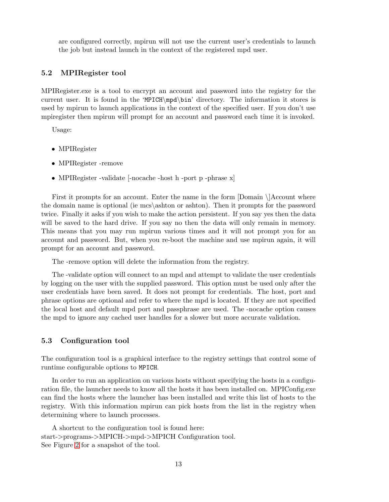<span id="page-16-0"></span>are configured correctly, mpirun will not use the current user's credentials to launch the job but instead launch in the context of the registered mpd user.

# 5.2 MPIRegister tool

MPIRegister.exe is a tool to encrypt an account and password into the registry for the current user. It is found in the 'MPICH\mpd\bin' directory. The information it stores is used by mpirun to launch applications in the context of the specified user. If you don't use mpiregister then mpirun will prompt for an account and password each time it is invoked.

Usage:

- MPIRegister
- MPIRegister -remove
- MPIRegister -validate [-nocache -host h -port p -phrase x]

First it prompts for an account. Enter the name in the form [Domain \]Account where the domain name is optional (ie mcs\ashton or ashton). Then it prompts for the password twice. Finally it asks if you wish to make the action persistent. If you say yes then the data will be saved to the hard drive. If you say no then the data will only remain in memory. This means that you may run mpirun various times and it will not prompt you for an account and password. But, when you re-boot the machine and use mpirun again, it will prompt for an account and password.

The -remove option will delete the information from the registry.

The -validate option will connect to an mpd and attempt to validate the user credentials by logging on the user with the supplied password. This option must be used only after the user credentials have been saved. It does not prompt for credentials. The host, port and phrase options are optional and refer to where the mpd is located. If they are not specified the local host and default mpd port and passphrase are used. The -nocache option causes the mpd to ignore any cached user handles for a slower but more accurate validation.

### 5.3 Configuration tool

The configuration tool is a graphical interface to the registry settings that control some of runtime configurable options to MPICH.

In order to run an application on various hosts without specifying the hosts in a configuration file, the launcher needs to know all the hosts it has been installed on. MPIConfig.exe can find the hosts where the launcher has been installed and write this list of hosts to the registry. With this information mpirun can pick hosts from the list in the registry when determining where to launch processes.

A shortcut to the configuration tool is found here: start->programs->MPICH->mpd->MPICH Configuration tool. See Figure [2](#page-17-0) for a snapshot of the tool.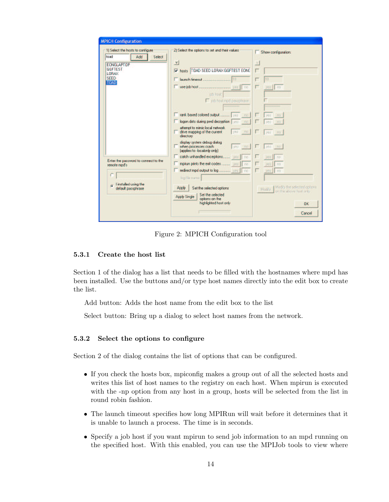<span id="page-17-0"></span>

| 1) Select the hosts to configure<br>toad<br>Add<br>Select | 2) Select the options to set and their values                                                 | Show configuration:                                               |
|-----------------------------------------------------------|-----------------------------------------------------------------------------------------------|-------------------------------------------------------------------|
| <b>EONGLAPTOP</b>                                         | ×                                                                                             | <b>V</b>                                                          |
| <b>GGFTEST</b><br>LORAX                                   | hosts T0AD SEED LORAX GGFTEST EONG<br>⊽                                                       |                                                                   |
| <b>SEED</b><br><b>TOAD</b>                                |                                                                                               | 10                                                                |
|                                                           | <b>ho</b><br>job host:                                                                        | Ing<br><b>URS</b>                                                 |
|                                                           | ob host mpd passphrase                                                                        |                                                                   |
|                                                           | no                                                                                            | yes<br>na.                                                        |
|                                                           | logon dats during pwd decryption wes-<br>n <sub>0</sub>                                       | no<br>yes                                                         |
|                                                           | attempt to mimic local network.<br>yes no<br>drive mapping of the current<br>directory        | ves:<br>na                                                        |
|                                                           | display system debug dialog<br>when processes crash<br>yes no<br>(applies to -localonly only) | yes no                                                            |
| Enter the password to connect to the                      | no                                                                                            | yes:<br>no                                                        |
| remote mpd's                                              | no                                                                                            | <b>Jies</b><br>no                                                 |
|                                                           | redirect mpd output to log  ves<br>no.<br>log file name:                                      | no<br><b>DES</b>                                                  |
| I installed using the<br>n.<br>default passphrase         | Set the selected options<br>Apply<br>Set the selected                                         | Modify the selected aptions.<br>Madify<br>on the above host only. |
|                                                           | <b>Apply Single</b><br>options on the<br>highlighted host only                                | <b>OK</b>                                                         |
|                                                           |                                                                                               | Cancel                                                            |

Figure 2: MPICH Configuration tool

# 5.3.1 Create the host list

Section 1 of the dialog has a list that needs to be filled with the hostnames where mpd has been installed. Use the buttons and/or type host names directly into the edit box to create the list.

Add button: Adds the host name from the edit box to the list

Select button: Bring up a dialog to select host names from the network.

# 5.3.2 Select the options to configure

Section 2 of the dialog contains the list of options that can be configured.

- If you check the hosts box, mpiconfig makes a group out of all the selected hosts and writes this list of host names to the registry on each host. When mpirun is executed with the -np option from any host in a group, hosts will be selected from the list in round robin fashion.
- The launch timeout specifies how long MPIRun will wait before it determines that it is unable to launch a process. The time is in seconds.
- Specify a job host if you want mpirun to send job information to an mpd running on the specified host. With this enabled, you can use the MPIJob tools to view where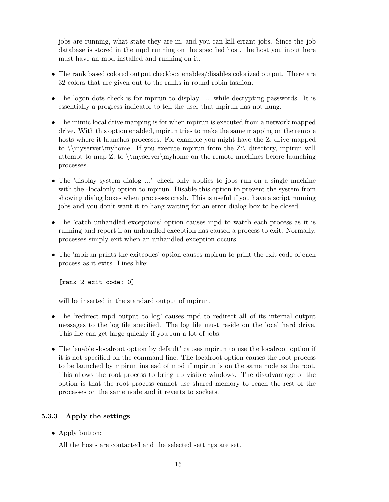<span id="page-18-0"></span>jobs are running, what state they are in, and you can kill errant jobs. Since the job database is stored in the mpd running on the specified host, the host you input here must have an mpd installed and running on it.

- The rank based colored output checkbox enables/disables colorized output. There are 32 colors that are given out to the ranks in round robin fashion.
- The logon dots check is for mpirun to display .... while decrypting passwords. It is essentially a progress indicator to tell the user that mpirun has not hung.
- The mimic local drive mapping is for when mpirun is executed from a network mapped drive. With this option enabled, mpirun tries to make the same mapping on the remote hosts where it launches processes. For example you might have the Z: drive mapped to  $\m{\mbox{myserver}}$  to  $\rm{myserver}$ . If you execute mpirun from the Z: directory, mpirun will attempt to map Z: to \\myserver\myhome on the remote machines before launching processes.
- The 'display system dialog ...' check only applies to jobs run on a single machine with the -localonly option to mpirun. Disable this option to prevent the system from showing dialog boxes when processes crash. This is useful if you have a script running jobs and you don't want it to hang waiting for an error dialog box to be closed.
- The 'catch unhandled exceptions' option causes mpd to watch each process as it is running and report if an unhandled exception has caused a process to exit. Normally, processes simply exit when an unhandled exception occurs.
- The 'mpirun prints the exitcodes' option causes mpirun to print the exit code of each process as it exits. Lines like:

[rank 2 exit code: 0]

will be inserted in the standard output of mpirun.

- The 'redirect mpd output to log' causes mpd to redirect all of its internal output messages to the log file specified. The log file must reside on the local hard drive. This file can get large quickly if you run a lot of jobs.
- The 'enable -localroot option by default' causes mpirun to use the localroot option if it is not specified on the command line. The localroot option causes the root process to be launched by mpirun instead of mpd if mpirun is on the same node as the root. This allows the root process to bring up visible windows. The disadvantage of the option is that the root process cannot use shared memory to reach the rest of the processes on the same node and it reverts to sockets.

## 5.3.3 Apply the settings

• Apply button:

All the hosts are contacted and the selected settings are set.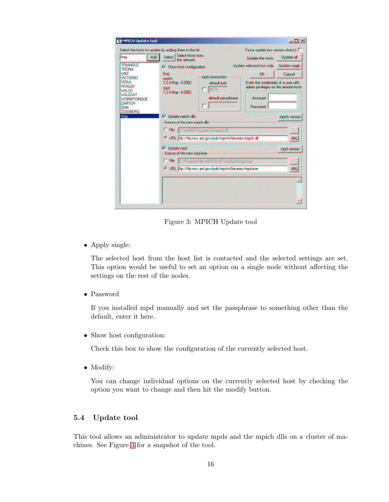<span id="page-19-0"></span>

| frog<br>Add                                                     | Select the hosts to update by adding them to the list<br><b>Select hasts from</b><br><b>Select</b><br><b>Update the hosts</b><br>the network.                   | Force update (no version check)<br>Update all |
|-----------------------------------------------------------------|-----------------------------------------------------------------------------------------------------------------------------------------------------------------|-----------------------------------------------|
| <b>TRIANGLE</b>                                                 | Update selected host only<br>Show host configuration                                                                                                            | <b>Update single</b>                          |
| <b>TRONA</b><br><b>UND</b>                                      | trog<br>nк<br>mod connection                                                                                                                                    | Cancel                                        |
| <b>MCTORIO</b><br><b>MOLA</b><br><b>VIVALDI</b><br><b>WILCO</b> | moich:<br>1.2.4 May 4 2002<br>Enter the credentials of a user with<br>default port<br>admin privileges on the remote hosts.<br>mod:<br>8675<br>1.2.4 May 4 2002 |                                               |
| <b>WILDCAT</b><br><b>WORMTONGUE</b><br><b>ZARTOV</b>            | default passphrase<br><b>Account</b>                                                                                                                            |                                               |
| ZINK<br><b>ZOIDBERG</b>                                         | Password                                                                                                                                                        |                                               |
| frog                                                            | Update mpich dlls                                                                                                                                               | mpich version                                 |
|                                                                 | Source of the new mpich dlls                                                                                                                                    |                                               |
|                                                                 | C File C:\\/\/INNT\System32\mpich.dll                                                                                                                           |                                               |
|                                                                 | (F) URL [ftp://ftp.mcs.anl.gov/pub/mpi/nt/binaries/mpich.dll                                                                                                    | ANL                                           |
|                                                                 | $\nabla$ Update mod<br>Source of the new mpd.exe                                                                                                                | mod version                                   |
|                                                                 | $\subset$ File<br>CAProgram Files MPICH NT (mpd\bin\mpd.exe)                                                                                                    |                                               |
|                                                                 | 4 URL ftp://ftp.mcs.anl.gov/pub/mpi/nt/binaries/mpd.exe                                                                                                         | ANL                                           |
|                                                                 |                                                                                                                                                                 |                                               |
|                                                                 |                                                                                                                                                                 |                                               |

Figure 3: MPICH Update tool

• Apply single:

The selected host from the host list is contacted and the selected settings are set. This option would be useful to set an option on a single node without affecting the settings on the rest of the nodes.

• Password

If you installed mpd manually and set the passphrase to something other than the default, enter it here.

• Show host configuration:

Check this box to show the configuration of the currently selected host.

• Modify:

You can change individual options on the currently selected host by checking the option you want to change and then hit the modify button.

# 5.4 Update tool

This tool allows an administrator to update mpds and the mpich dlls on a cluster of machines. See Figure 3 for a snapshot of the tool.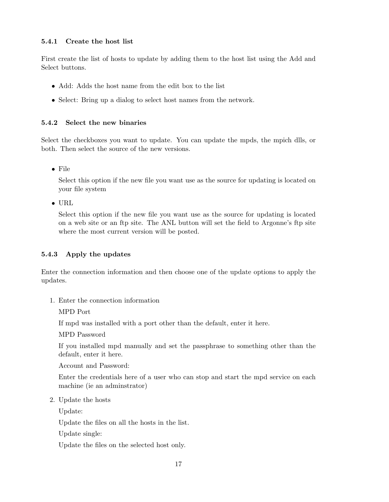# <span id="page-20-0"></span>5.4.1 Create the host list

First create the list of hosts to update by adding them to the host list using the Add and Select buttons.

- Add: Adds the host name from the edit box to the list
- Select: Bring up a dialog to select host names from the network.

# 5.4.2 Select the new binaries

Select the checkboxes you want to update. You can update the mpds, the mpich dlls, or both. Then select the source of the new versions.

• File

Select this option if the new file you want use as the source for updating is located on your file system

• URL

Select this option if the new file you want use as the source for updating is located on a web site or an ftp site. The ANL button will set the field to Argonne's ftp site where the most current version will be posted.

# 5.4.3 Apply the updates

Enter the connection information and then choose one of the update options to apply the updates.

1. Enter the connection information

MPD Port

If mpd was installed with a port other than the default, enter it here.

MPD Password

If you installed mpd manually and set the passphrase to something other than the default, enter it here.

Account and Password:

Enter the credentials here of a user who can stop and start the mpd service on each machine (ie an adminstrator)

2. Update the hosts

Update:

Update the files on all the hosts in the list.

Update single:

Update the files on the selected host only.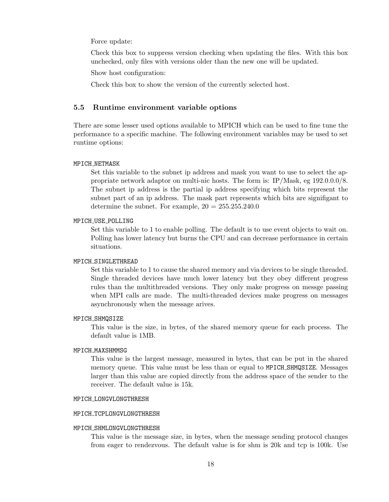<span id="page-21-0"></span>Force update:

Check this box to suppress version checking when updating the files. With this box unchecked, only files with versions older than the new one will be updated.

Show host configuration:

Check this box to show the version of the currently selected host.

## 5.5 Runtime environment variable options

There are some lesser used options available to MPICH which can be used to fine tune the performance to a specific machine. The following environment variables may be used to set runtime options:

#### MPICH\_NETMASK

Set this variable to the subnet ip address and mask you want to use to select the appropriate network adaptor on multi-nic hosts. The form is: IP/Mask, eg 192.0.0.0/8. The subnet ip address is the partial ip address specifying which bits represent the subnet part of an ip address. The mask part represents which bits are signifigant to determine the subnet. For example,  $20 = 255.255.240.0$ 

#### MPICH USE POLLING

Set this variable to 1 to enable polling. The default is to use event objects to wait on. Polling has lower latency but burns the CPU and can decrease performance in certain situations.

#### MPICH SINGLETHREAD

Set this variable to 1 to cause the shared memory and via devices to be single threaded. Single threaded devices have much lower latency but they obey different progress rules than the multithreaded versions. They only make progress on messge passing when MPI calls are made. The multi-threaded devices make progress on messages asynchronously when the message arives.

#### MPICH SHMQSIZE

This value is the size, in bytes, of the shared memory queue for each process. The default value is 1MB.

#### MPICH MAXSHMMSG

This value is the largest message, measured in bytes, that can be put in the shared memory queue. This value must be less than or equal to MPICH SHMQSIZE. Messages larger than this value are copied directly from the address space of the sender to the receiver. The default value is 15k.

#### MPICH LONGVLONGTHRESH

#### MPICH TCPLONGVLONGTHRESH

#### MPICH SHMLONGVLONGTHRESH

This value is the message size, in bytes, when the message sending protocol changes from eager to rendezvous. The default value is for shm is 20k and tcp is 100k. Use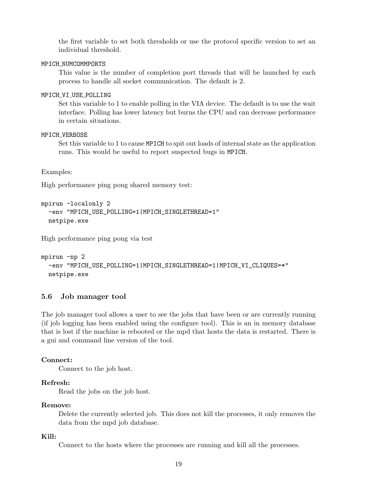<span id="page-22-0"></span>the first variable to set both thresholds or use the protocol specific version to set an individual threshold.

#### MPICH NUMCOMMPORTS

This value is the number of completion port threads that will be launched by each process to handle all socket communication. The default is 2.

#### MPICH\_VI\_USE\_POLLING

Set this variable to 1 to enable polling in the VIA device. The default is to use the wait interface. Polling has lower latency but burns the CPU and can decrease performance in certain situations.

### MPICH VERBOSE

Set this variable to 1 to cause MPICH to spit out loads of internal state as the application runs. This would be useful to report suspected bugs in MPICH.

Examples:

High performance ping pong shared memory test:

```
mpirun -localonly 2
  -env "MPICH_USE_POLLING=1|MPICH_SINGLETHREAD=1"
  netpipe.exe
```
High performance ping pong via test

```
mpirun -np 2
 -env "MPICH_USE_POLLING=1|MPICH_SINGLETHREAD=1|MPICH_VI_CLIQUES=*"
 netpipe.exe
```
# 5.6 Job manager tool

The job manager tool allows a user to see the jobs that have been or are currently running (if job logging has been enabled using the configure tool). This is an in memory database that is lost if the machine is rebooted or the mpd that hosts the data is restarted. There is a gui and command line version of the tool.

#### Connect:

Connect to the job host.

#### Refresh:

Read the jobs on the job host.

### Remove:

Delete the currently selected job. This does not kill the processes, it only removes the data from the mpd job database.

## Kill:

Connect to the hosts where the processes are running and kill all the processes.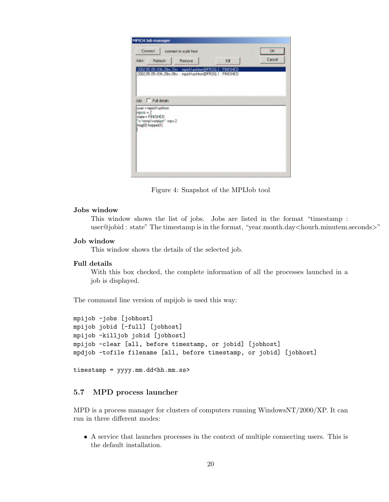<span id="page-23-0"></span>

| <b>MPICH Job manager</b><br>Connect                 | connect to a job host                                                                                                |      | <b>DK</b> |
|-----------------------------------------------------|----------------------------------------------------------------------------------------------------------------------|------|-----------|
| Johs:<br>Refresh                                    | Remove                                                                                                               | Kill | Cancel    |
|                                                     |                                                                                                                      |      |           |
|                                                     | 2002.05.05<03h.28m.33s> : mpich\ashton@FROG.2 : FINISHED<br>2002.05.05<03h.28m.08s> : mpich\ashton@FR0G.1 : FINISHED |      |           |
|                                                     |                                                                                                                      |      |           |
| Job: Full details                                   |                                                                                                                      |      |           |
| user = mpich\ashton<br>$n0 = 2$<br>state = FINISHED |                                                                                                                      |      |           |
| "c:\temp\netpipe" -reps 2<br>frog(0) hopper(1)      |                                                                                                                      |      |           |
|                                                     |                                                                                                                      |      |           |
|                                                     |                                                                                                                      |      |           |
|                                                     |                                                                                                                      |      |           |
|                                                     |                                                                                                                      |      |           |

Figure 4: Snapshot of the MPIJob tool

## Jobs window

This window shows the list of jobs. Jobs are listed in the format "timestamp : user@jobid : state" The timestamp is in the format, "year.month.day<hourh.minutem.seconds>"

# Job window

This window shows the details of the selected job.

# Full details

With this box checked, the complete information of all the processes launched in a job is displayed.

The command line version of mpijob is used this way:

```
mpijob -jobs [jobhost]
mpijob jobid [-full] [jobhost]
mpijob -killjob jobid [jobhost]
mpijob -clear [all, before timestamp, or jobid] [jobhost]
mpdjob -tofile filename [all, before timestamp, or jobid] [jobhost]
```

```
timestamp = yyyy.mm.dd<hh.mm.ss>
```
# 5.7 MPD process launcher

MPD is a process manager for clusters of computers running WindowsNT/2000/XP. It can run in three different modes:

• A service that launches processes in the context of multiple connecting users. This is the default installation.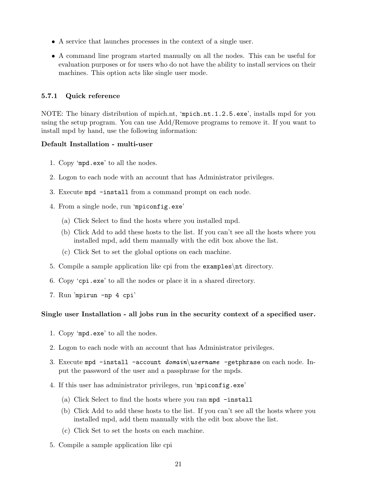- <span id="page-24-0"></span>• A service that launches processes in the context of a single user.
- A command line program started manually on all the nodes. This can be useful for evaluation purposes or for users who do not have the ability to install services on their machines. This option acts like single user mode.

# 5.7.1 Quick reference

NOTE: The binary distribution of mpich.nt, 'mpich.nt.1.2.5.exe', installs mpd for you using the setup program. You can use Add/Remove programs to remove it. If you want to install mpd by hand, use the following information:

## Default Installation - multi-user

- 1. Copy 'mpd.exe' to all the nodes.
- 2. Logon to each node with an account that has Administrator privileges.
- 3. Execute mpd -install from a command prompt on each node.
- 4. From a single node, run 'mpiconfig.exe'
	- (a) Click Select to find the hosts where you installed mpd.
	- (b) Click Add to add these hosts to the list. If you can't see all the hosts where you installed mpd, add them manually with the edit box above the list.
	- (c) Click Set to set the global options on each machine.
- 5. Compile a sample application like cpi from the examples\nt directory.
- 6. Copy 'cpi.exe' to all the nodes or place it in a shared directory.
- 7. Run 'mpirun -np 4 cpi'

## Single user Installation - all jobs run in the security context of a specified user.

- 1. Copy 'mpd.exe' to all the nodes.
- 2. Logon to each node with an account that has Administrator privileges.
- 3. Execute mpd -install -account  $domain \username$  -getphrase on each node. Input the password of the user and a passphrase for the mpds.
- 4. If this user has administrator privileges, run 'mpiconfig.exe'
	- (a) Click Select to find the hosts where you ran mpd -install
	- (b) Click Add to add these hosts to the list. If you can't see all the hosts where you installed mpd, add them manually with the edit box above the list.
	- (c) Click Set to set the hosts on each machine.
- 5. Compile a sample application like cpi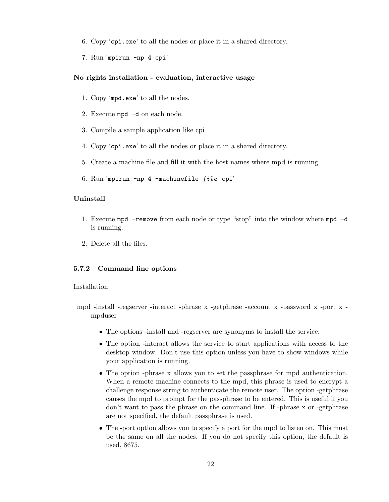- <span id="page-25-0"></span>6. Copy 'cpi.exe' to all the nodes or place it in a shared directory.
- 7. Run 'mpirun -np 4 cpi'

#### No rights installation - evaluation, interactive usage

- 1. Copy 'mpd.exe' to all the nodes.
- 2. Execute mpd -d on each node.
- 3. Compile a sample application like cpi
- 4. Copy 'cpi.exe' to all the nodes or place it in a shared directory.
- 5. Create a machine file and fill it with the host names where mpd is running.
- 6. Run 'mpirun -np 4 -machinefile file cpi'

## Uninstall

- 1. Execute mpd -remove from each node or type "stop" into the window where mpd -d is running.
- 2. Delete all the files.

## 5.7.2 Command line options

### Installation

- mpd -install -regserver -interact -phrase x -getphrase -account x -password x -port x mpduser
	- The options -install and -regserver are synonyms to install the service.
	- The option -interact allows the service to start applications with access to the desktop window. Don't use this option unless you have to show windows while your application is running.
	- The option -phrase x allows you to set the passphrase for mpd authentication. When a remote machine connects to the mpd, this phrase is used to encrypt a challenge response string to authenticate the remote user. The option -getphrase causes the mpd to prompt for the passphrase to be entered. This is useful if you don't want to pass the phrase on the command line. If -phrase x or -getphrase are not specified, the default passphrase is used.
	- The -port option allows you to specify a port for the mpd to listen on. This must be the same on all the nodes. If you do not specify this option, the default is used, 8675.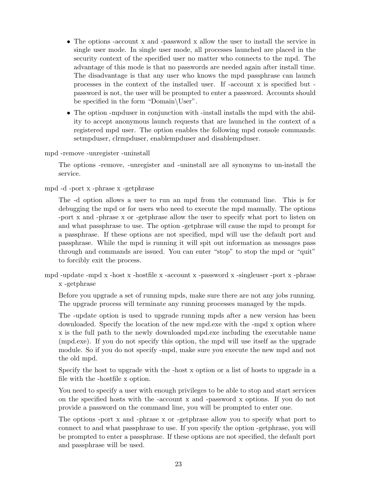- The options -account x and -password x allow the user to install the service in single user mode. In single user mode, all processes launched are placed in the security context of the specified user no matter who connects to the mpd. The advantage of this mode is that no passwords are needed again after install time. The disadvantage is that any user who knows the mpd passphrase can launch processes in the context of the installed user. If -account x is specified but password is not, the user will be prompted to enter a password. Accounts should be specified in the form "Domain\User".
- The option -mpduser in conjunction with -install installs the mpd with the ability to accept anonymous launch requests that are launched in the context of a registered mpd user. The option enables the following mpd console commands: setmpduser, clrmpduser, enablempduser and disablempduser.

mpd -remove -unregister -uninstall

The options -remove, -unregister and -uninstall are all synonyms to un-install the service.

mpd -d -port x -phrase x -getphrase

The -d option allows a user to run an mpd from the command line. This is for debugging the mpd or for users who need to execute the mpd manually. The options -port x and -phrase x or -getphrase allow the user to specify what port to listen on and what passphrase to use. The option -getphrase will cause the mpd to prompt for a passphrase. If these options are not specified, mpd will use the default port and passphrase. While the mpd is running it will spit out information as messages pass through and commands are issued. You can enter "stop" to stop the mpd or "quit" to forcibly exit the process.

mpd -update -mpd x -host x -hostfile x -account x -password x -singleuser -port x -phrase x -getphrase

Before you upgrade a set of running mpds, make sure there are not any jobs running. The upgrade process will terminate any running processes managed by the mpds.

The -update option is used to upgrade running mpds after a new version has been downloaded. Specify the location of the new mpd.exe with the -mpd x option where x is the full path to the newly downloaded mpd.exe including the executable name (mpd.exe). If you do not specify this option, the mpd will use itself as the upgrade module. So if you do not specify -mpd, make sure you execute the new mpd and not the old mpd.

Specify the host to upgrade with the -host x option or a list of hosts to upgrade in a file with the -hostfile x option.

You need to specify a user with enough privileges to be able to stop and start services on the specified hosts with the -account x and -password x options. If you do not provide a password on the command line, you will be prompted to enter one.

The options -port x and -phrase x or -getphrase allow you to specify what port to connect to and what passphrase to use. If you specify the option -getphrase, you will be prompted to enter a passphrase. If these options are not specified, the default port and passphrase will be used.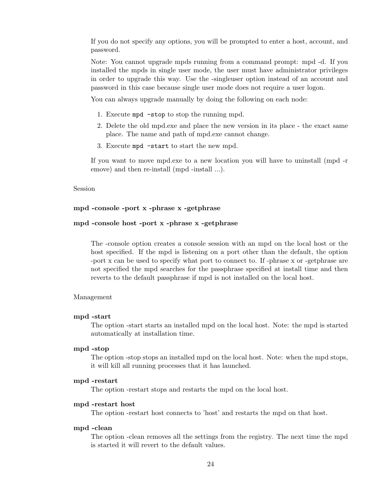If you do not specify any options, you will be prompted to enter a host, account, and password.

Note: You cannot upgrade mpds running from a command prompt: mpd -d. If you installed the mpds in single user mode, the user must have administrator privileges in order to upgrade this way. Use the -singleuser option instead of an account and password in this case because single user mode does not require a user logon.

You can always upgrade manually by doing the following on each node:

- 1. Execute mpd -stop to stop the running mpd.
- 2. Delete the old mpd.exe and place the new version in its place the exact same place. The name and path of mpd.exe cannot change.
- 3. Execute mpd -start to start the new mpd.

If you want to move mpd.exe to a new location you will have to uninstall (mpd -r emove) and then re-install (mpd -install ...).

#### Session

#### mpd -console -port x -phrase x -getphrase

### mpd -console host -port x -phrase x -getphrase

The -console option creates a console session with an mpd on the local host or the host specified. If the mpd is listening on a port other than the default, the option -port x can be used to specify what port to connect to. If -phrase x or -getphrase are not specified the mpd searches for the passphrase specified at install time and then reverts to the default passphrase if mpd is not installed on the local host.

#### Management

#### mpd -start

The option -start starts an installed mpd on the local host. Note: the mpd is started automatically at installation time.

#### mpd -stop

The option -stop stops an installed mpd on the local host. Note: when the mpd stops, it will kill all running processes that it has launched.

#### mpd -restart

The option -restart stops and restarts the mpd on the local host.

#### mpd -restart host

The option -restart host connects to 'host' and restarts the mpd on that host.

#### mpd -clean

The option -clean removes all the settings from the registry. The next time the mpd is started it will revert to the default values.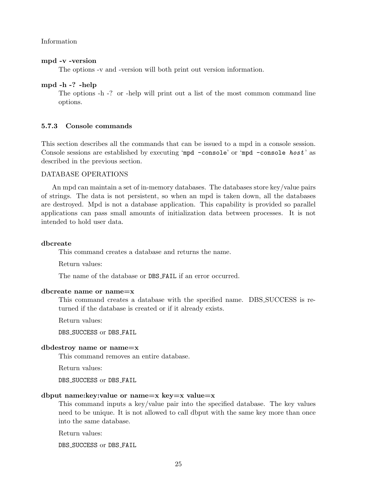<span id="page-28-0"></span>Information

#### mpd -v -version

The options -v and -version will both print out version information.

#### mpd -h -? -help

The options -h -? or -help will print out a list of the most common command line options.

## 5.7.3 Console commands

This section describes all the commands that can be issued to a mpd in a console session. Console sessions are established by executing 'mpd -console' or 'mpd -console host' as described in the previous section.

### DATABASE OPERATIONS

An mpd can maintain a set of in-memory databases. The databases store key/value pairs of strings. The data is not persistent, so when an mpd is taken down, all the databases are destroyed. Mpd is not a database application. This capability is provided so parallel applications can pass small amounts of initialization data between processes. It is not intended to hold user data.

# dbcreate

This command creates a database and returns the name.

Return values:

The name of the database or DBS FAIL if an error occurred.

#### dbcreate name or name=x

This command creates a database with the specified name. DBS SUCCESS is returned if the database is created or if it already exists.

Return values:

DBS SUCCESS or DBS FAIL

#### dbdestroy name or name=x

This command removes an entire database.

Return values:

DBS\_SUCCESS or DBS\_FAIL

# dbput name: key: value or name  $=x$  key  $=x$  value  $=x$

This command inputs a key/value pair into the specified database. The key values need to be unique. It is not allowed to call dbput with the same key more than once into the same database.

Return values:

DBS SUCCESS or DBS FAIL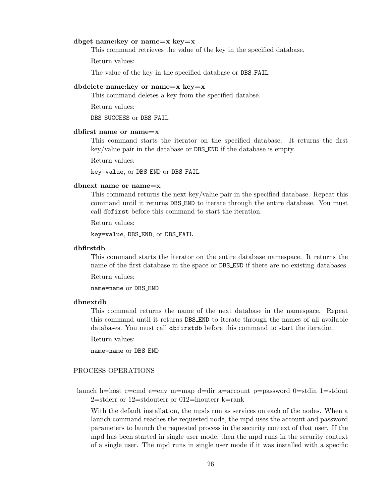#### dbget name:key or name=x key=x

This command retrieves the value of the key in the specified database.

Return values:

The value of the key in the specified database or DBS FAIL

#### dbdelete name: key or name $=x$  key  $=x$

This command deletes a key from the specified databse.

Return values:

DBS\_SUCCESS or DBS\_FAIL

#### dbfirst name or name=x

This command starts the iterator on the specified database. It returns the first key/value pair in the database or DBS END if the database is empty.

Return values:

key=value, or DBS END or DBS FAIL

#### dbnext name or name=x

This command returns the next key/value pair in the specified database. Repeat this command until it returns DBS END to iterate through the entire database. You must call dbfirst before this command to start the iteration.

Return values:

key=value, DBS END, or DBS FAIL

#### dbfirstdb

This command starts the iterator on the entire database namespace. It returns the name of the first database in the space or DBS END if there are no existing databases.

Return values:

name=name or DBS END

## dbnextdb

This command returns the name of the next database in the namespace. Repeat this command until it returns DBS END to iterate through the names of all available databases. You must call dbfirstdb before this command to start the iteration.

Return values:

name=name or DBS END

# PROCESS OPERATIONS

launch h=host c=cmd e=env m=map d=dir a=account p=password 0=stdin 1=stdout 2=stderr or 12=stdouterr or 012=inouterr k=rank

With the default installation, the mpds run as services on each of the nodes. When a launch command reaches the requested node, the mpd uses the account and password parameters to launch the requested process in the security context of that user. If the mpd has been started in single user mode, then the mpd runs in the security context of a single user. The mpd runs in single user mode if it was installed with a specific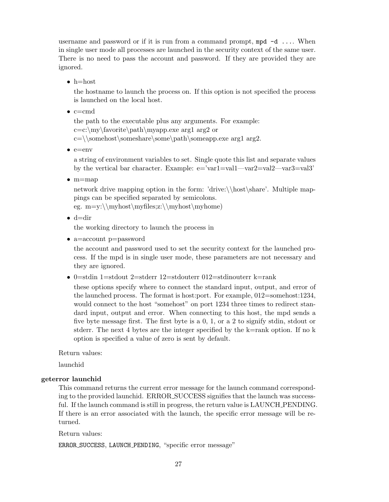username and password or if it is run from a command prompt,  $mpd -d$ .... When in single user mode all processes are launched in the security context of the same user. There is no need to pass the account and password. If they are provided they are ignored.

 $\bullet$  h=host

the hostname to launch the process on. If this option is not specified the process is launched on the local host.

 $\bullet$  c=cmd

the path to the executable plus any arguments. For example:  $c=c:\m\n<sub>1</sub>$  arg2 or  $c=\langle\sigma\$ somehost\someshare\some\path\someapp.exe arg1 arg2.

 $\bullet$  e=env

a string of environment variables to set. Single quote this list and separate values by the vertical bar character. Example: e='var1=val1—var2=val2—var3=val3'

• m=map

network drive mapping option in the form: 'drive:\\host\share'. Multiple mappings can be specified separated by semicolons.

eg.  $m=y:\\mphost\myfiles;z:\\myhost\myhome)$ 

 $\bullet$  d=dir

the working directory to launch the process in

• a=account p=password

the account and password used to set the security context for the launched process. If the mpd is in single user mode, these parameters are not necessary and they are ignored.

• 0=stdin 1=stdout 2=stderr 12=stdouterr 012=stdinouterr k=rank

these options specify where to connect the standard input, output, and error of the launched process. The format is host:port. For example, 012=somehost:1234, would connect to the host "somehost" on port 1234 three times to redirect standard input, output and error. When connecting to this host, the mpd sends a five byte message first. The first byte is a 0, 1, or a 2 to signify stdin, stdout or stderr. The next 4 bytes are the integer specified by the k=rank option. If no k option is specified a value of zero is sent by default.

Return values:

launchid

#### geterror launchid

This command returns the current error message for the launch command corresponding to the provided launchid. ERROR SUCCESS signifies that the launch was successful. If the launch command is still in progress, the return value is LAUNCH\_PENDING. If there is an error associated with the launch, the specific error message will be returned.

Return values:

ERROR SUCCESS, LAUNCH PENDING, "specific error message"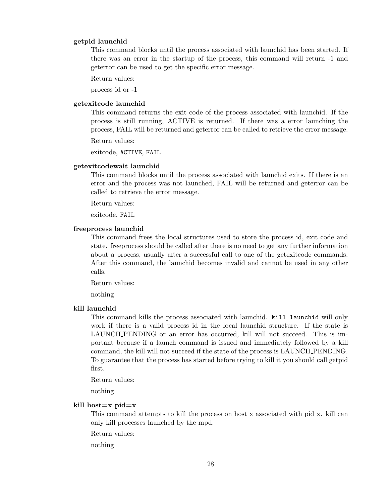### getpid launchid

This command blocks until the process associated with launchid has been started. If there was an error in the startup of the process, this command will return -1 and geterror can be used to get the specific error message.

Return values:

process id or -1

## getexitcode launchid

This command returns the exit code of the process associated with launchid. If the process is still running, ACTIVE is returned. If there was a error launching the process, FAIL will be returned and geterror can be called to retrieve the error message.

Return values:

exitcode, ACTIVE, FAIL

## getexitcodewait launchid

This command blocks until the process associated with launchid exits. If there is an error and the process was not launched, FAIL will be returned and geterror can be called to retrieve the error message.

Return values:

exitcode, FAIL

#### freeprocess launchid

This command frees the local structures used to store the process id, exit code and state. freeprocess should be called after there is no need to get any further information about a process, usually after a successful call to one of the getexitcode commands. After this command, the launchid becomes invalid and cannot be used in any other calls.

Return values:

nothing

#### kill launchid

This command kills the process associated with launchid. kill launchid will only work if there is a valid process id in the local launchid structure. If the state is LAUNCH PENDING or an error has occurred, kill will not succeed. This is important because if a launch command is issued and immediately followed by a kill command, the kill will not succeed if the state of the process is LAUNCH PENDING. To guarantee that the process has started before trying to kill it you should call getpid first.

Return values:

nothing

### kill host $=x$  pid $=x$

This command attempts to kill the process on host x associated with pid x. kill can only kill processes launched by the mpd.

Return values:

nothing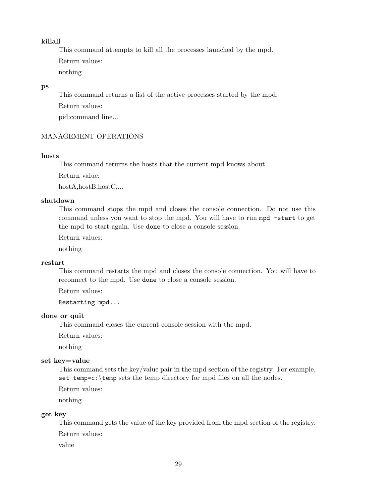# killall

This command attempts to kill all the processes launched by the mpd.

Return values:

nothing

# ps

This command returns a list of the active processes started by the mpd. Return values: pid:command line...

# MANAGEMENT OPERATIONS

#### hosts

This command returns the hosts that the current mpd knows about.

Return value:

hostA,hostB,hostC,...

## shutdown

This command stops the mpd and closes the console connection. Do not use this command unless you want to stop the mpd. You will have to run mpd -start to get the mpd to start again. Use done to close a console session.

Return values:

nothing

#### restart

This command restarts the mpd and closes the console connection. You will have to reconnect to the mpd. Use done to close a console session.

Return values:

Restarting mpd...

#### done or quit

This command closes the current console session with the mpd.

Return values:

nothing

# set key=value

This command sets the key/value pair in the mpd section of the registry. For example, set temp=c: $\temp$  sets the temp directory for mpd files on all the nodes.

Return values:

nothing

#### get key

This command gets the value of the key provided from the mpd section of the registry.

Return values:

value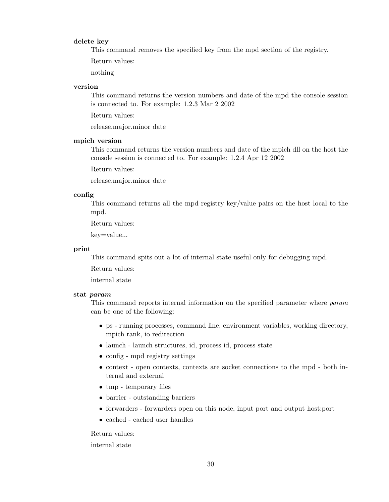### delete key

This command removes the specified key from the mpd section of the registry.

Return values:

nothing

## version

This command returns the version numbers and date of the mpd the console session is connected to. For example: 1.2.3 Mar 2 2002

Return values:

release.major.minor date

# mpich version

This command returns the version numbers and date of the mpich dll on the host the console session is connected to. For example: 1.2.4 Apr 12 2002

Return values:

release.major.minor date

#### config

This command returns all the mpd registry key/value pairs on the host local to the mpd.

Return values:

key=value...

#### print

This command spits out a lot of internal state useful only for debugging mpd.

Return values:

internal state

#### stat param

This command reports internal information on the specified parameter where param can be one of the following:

- ps running processes, command line, environment variables, working directory, mpich rank, io redirection
- launch launch structures, id, process id, process state
- config mpd registry settings
- context open contexts, contexts are socket connections to the mpd both internal and external
- tmp temporary files
- barrier outstanding barriers
- forwarders forwarders open on this node, input port and output host:port
- cached cached user handles

#### Return values:

internal state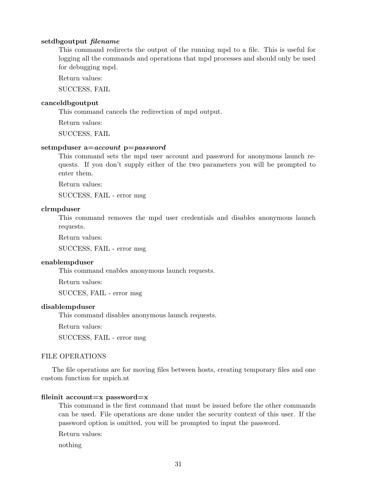## setdbgoutput filename

This command redirects the output of the running mpd to a file. This is useful for logging all the commands and operations that mpd processes and should only be used for debugging mpd.

Return values:

SUCCESS, FAIL

#### canceldbgoutput

This command cancels the redirection of mpd output.

Return values:

SUCCESS, FAIL

## setmpduser a=account p=password

This command sets the mpd user account and password for anonymous launch requests. If you don't supply either of the two parameters you will be prompted to enter them.

Return values:

SUCCESS, FAIL - error msg

### clrmpduser

This command removes the mpd user credentials and disables anonymous launch requests.

Return values:

SUCCESS, FAIL - error msg

### enablempduser

This command enables anonymous launch requests.

Return values:

SUCCES, FAIL - error msg

## disablempduser

This command disables anonymous launch requests.

Return values:

SUCCESS, FAIL - error msg

#### FILE OPERATIONS

The file operations are for moving files between hosts, creating temporary files and one custom function for mpich.nt

#### fileinit account=x password=x

This command is the first command that must be issued before the other commands can be used. File operations are done under the security context of this user. If the password option is omitted, you will be prompted to input the password.

Return values:

nothing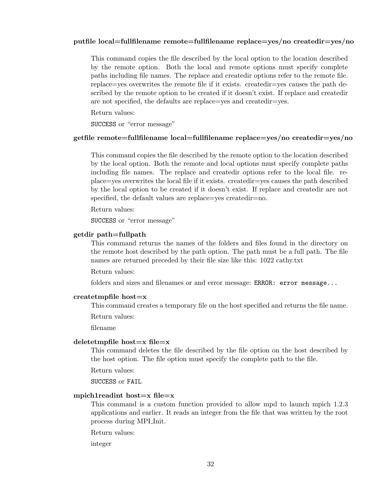## putfile local=fullfilename remote=fullfilename replace=yes/no createdir=yes/no

This command copies the file described by the local option to the location described by the remote option. Both the local and remote options must specify complete paths including file names. The replace and createdir options refer to the remote file. replace=yes overwrites the remote file if it exists. createdir=yes causes the path described by the remote option to be created if it doesn't exist. If replace and createdir are not specified, the defaults are replace=yes and createdir=yes.

Return values:

SUCCESS or "error message"

## getfile remote=fullfilename local=fullfilename replace=yes/no createdir=yes/no

This command copies the file described by the remote option to the location described by the local option. Both the remote and local options must specify complete paths including file names. The replace and createdir options refer to the local file. replace=yes overwrites the local file if it exists. createdir=yes causes the path described by the local option to be created if it doesn't exist. If replace and createdir are not specified, the default values are replace=yes createdir=no.

Return values:

SUCCESS or "error message"

## getdir path=fullpath

This command returns the names of the folders and files found in the directory on the remote host described by the path option. The path must be a full path. The file names are returned preceded by their file size like this: 1022 cathy.txt

Return values:

folders and sizes and filenames or and error message: ERROR: error message...

# createtmpfile host=x

This command creates a temporary file on the host specified and returns the file name.

Return values:

filename

### deletetmpfile host $=x$  file $=x$

This command deletes the file described by the file option on the host described by the host option. The file option must specify the complete path to the file.

Return values:

SUCCESS or FAIL

# mpich1readint host=x file=x

This command is a custom function provided to allow mpd to launch mpich 1.2.3 applications and earlier. It reads an integer from the file that was written by the root process during MPI Init.

Return values:

integer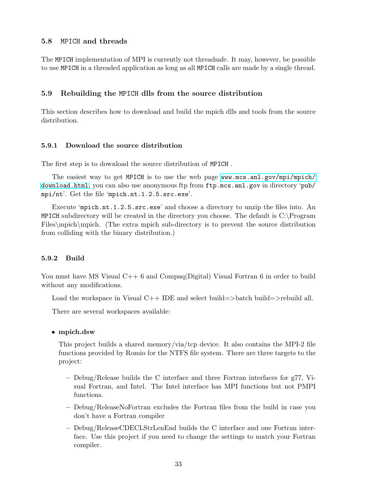# <span id="page-36-0"></span>5.8 MPICH and threads

The MPICH implementation of MPI is currently not threadsafe. It may, however, be possible to use MPICH in a threaded application as long as all MPICH calls are made by a single thread.

### 5.9 Rebuilding the MPICH dlls from the source distribution

This section describes how to download and build the mpich dlls and tools from the source distribution.

### 5.9.1 Download the source distribution

The first step is to download the source distribution of MPICH .

The easiest way to get MPICH is to use the web page [www.mcs.anl.gov/mpi/mpich/](www.mcs.anl.gov/mpi/mpich/download.html) [download.html](www.mcs.anl.gov/mpi/mpich/download.html); you can also use anonymous ftp from ftp.mcs.anl.gov in directory 'pub/ mpi/nt'. Get the file 'mpich.nt.1.2.5.src.exe'.

Execute 'mpich.nt.1.2.5.src.exe' and choose a directory to unzip the files into. An MPICH subdirectory will be created in the directory you choose. The default is C:\Program Files\mpich\mpich. (The extra mpich sub-directory is to prevent the source distribution from colliding with the binary distribution.)

### 5.9.2 Build

You must have MS Visual  $C++6$  and Compaq(Digital) Visual Fortran 6 in order to build without any modifications.

Load the workspace in Visual C++ IDE and select build=>batch build=>rebuild all.

There are several workspaces available:

#### • mpich.dsw

This project builds a shared memory/via/tcp device. It also contains the MPI-2 file functions provided by Romio for the NTFS file system. There are three targets to the project:

- Debug/Release builds the C interface and three Fortran interfaces for g77, Visual Fortran, and Intel. The Intel interface has MPI functions but not PMPI functions.
- Debug/ReleaseNoFortran excludes the Fortran files from the build in case you don't have a Fortran compiler
- Debug/ReleaseCDECLStrLenEnd builds the C interface and one Fortran interface. Use this project if you need to change the settings to match your Fortran compiler.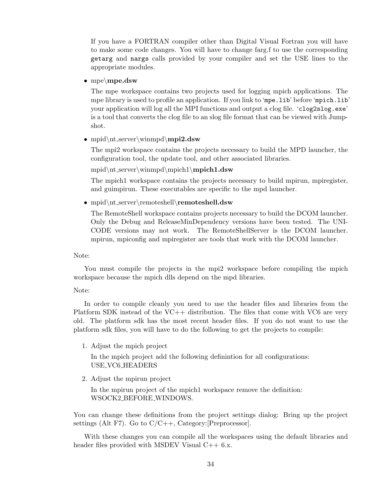If you have a FORTRAN compiler other than Digital Visual Fortran you will have to make some code changes. You will have to change farg.f to use the corresponding getarg and nargs calls provided by your compiler and set the USE lines to the appropriate modules.

# • mpe\mpe.dsw

The mpe workspace contains two projects used for logging mpich applications. The mpe library is used to profile an application. If you link to 'mpe.lib' before 'mpich.lib' your application will log all the MPI functions and output a clog file. 'clog2slog.exe' is a tool that converts the clog file to an slog file format that can be viewed with Jumpshot.

• mpid\nt\_server\winmpd\mpi2.dsw

The mpi2 workspace contains the projects necessary to build the MPD launcher, the configuration tool, the update tool, and other associated libraries.

mpid\nt server\winmpd\mpich1\mpich1.dsw

The mpich1 workspace contains the projects necessary to build mpirun, mpiregister, and guimpirun. These executables are specific to the mpd launcher.

• mpid\nt\_server\remoteshell\remoteshell.dsw

The RemoteShell workspace contains projects necessary to build the DCOM launcher. Only the Debug and ReleaseMinDependency versions have been tested. The UNI-CODE versions may not work. The RemoteShellServer is the DCOM launcher. mpirun, mpiconfig and mpiregister are tools that work with the DCOM launcher.

#### Note:

You must compile the projects in the mpi2 workspace before compiling the mpich workspace because the mpich dlls depend on the mpd libraries.

#### Note:

In order to compile cleanly you need to use the header files and libraries from the Platform SDK instead of the VC++ distribution. The files that come with VC6 are very old. The platform sdk has the most recent header files. If you do not want to use the platform sdk files, you will have to do the following to get the projects to compile:

1. Adjust the mpich project

In the mpich project add the following definintion for all configurations: USE VC6 HEADERS

2. Adjust the mpirun project

In the mpirun project of the mpich1 workspace remove the definition: WSOCK2 BEFORE WINDOWS.

You can change these definitions from the project settings dialog: Bring up the project settings (Alt F7). Go to  $C/C++$ , Category: [Preprocessor].

With these changes you can compile all the workspaces using the default libraries and header files provided with MSDEV Visual  $C++6.x$ .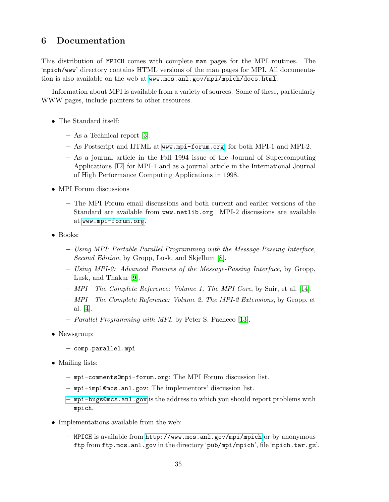# <span id="page-38-0"></span>6 Documentation

This distribution of MPICH comes with complete man pages for the MPI routines. The 'mpich/www' directory contains HTML versions of the man pages for MPI. All documentation is also available on the web at <www.mcs.anl.gov/mpi/mpich/docs.html>.

Information about MPI is available from a variety of sources. Some of these, particularly WWW pages, include pointers to other resources.

- The Standard itself:
	- As a Technical report [\[3\]](#page-50-0).
	- As Postscript and HTML at <www.mpi-forum.org>, for both MPI-1 and MPI-2.
	- As a journal article in the Fall 1994 issue of the Journal of Supercomputing Applications [\[12\]](#page-50-0) for MPI-1 and as a journal article in the International Journal of High Performance Computing Applications in 1998.
- MPI Forum discussions
	- The MPI Forum email discussions and both current and earlier versions of the Standard are available from www.netlib.org. MPI-2 discussions are available at <www.mpi-forum.org>.
- Books:
	- Using MPI: Portable Parallel Programming with the Message-Passing Interface, Second Edition, by Gropp, Lusk, and Skjellum [\[8\]](#page-50-0).
	- Using MPI-2: Advanced Features of the Message-Passing Interface, by Gropp, Lusk, and Thakur [\[9\]](#page-50-0).
	- $-$  MPI—The Complete Reference: Volume 1, The MPI Core, by Snir, et al. [\[14\]](#page-50-0).
	- MPI—The Complete Reference: Volume 2, The MPI-2 Extensions, by Gropp, et al. [\[4\]](#page-50-0).
	- Parallel Programming with MPI, by Peter S. Pacheco [\[13\]](#page-50-0).
- Newsgroup:
	- comp.parallel.mpi
- Mailing lists:
	- mpi-comments@mpi-forum.org: The MPI Forum discussion list.
	- mpi-impl@mcs.anl.gov: The implementors' discussion list.
	- <mpi-bugs@mcs.anl.gov> is the address to which you should report problems with mpich.
- Implementations available from the web:
	- MPICH is available from <http://www.mcs.anl.gov/mpi/mpich> or by anonymous ftp from ftp.mcs.anl.gov in the directory 'pub/mpi/mpich', file 'mpich.tar.gz'.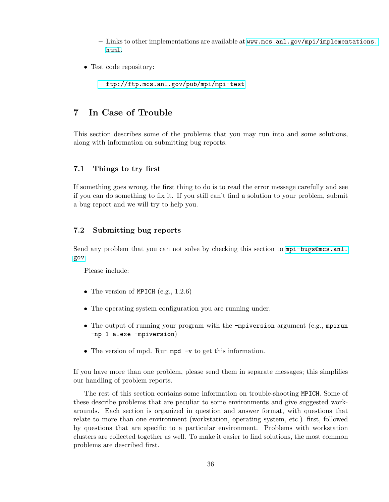- <span id="page-39-0"></span>– Links to other implementations are available at [www.mcs.anl.gov/mpi/implementations.](www.mcs.anl.gov/mpi/implementations.html) [html](www.mcs.anl.gov/mpi/implementations.html).
- Test code repository:

– <ftp://ftp.mcs.anl.gov/pub/mpi/mpi-test>

# 7 In Case of Trouble

This section describes some of the problems that you may run into and some solutions, along with information on submitting bug reports.

## 7.1 Things to try first

If something goes wrong, the first thing to do is to read the error message carefully and see if you can do something to fix it. If you still can't find a solution to your problem, submit a bug report and we will try to help you.

# 7.2 Submitting bug reports

Send any problem that you can not solve by checking this section to  $mpi$ -bugs@mcs.anl. [gov](mpi-bugs@mcs.anl.gov).

Please include:

- The version of MPICH  $(e.g., 1.2.6)$
- The operating system configuration you are running under.
- The output of running your program with the -mpiversion argument (e.g., mpirun -np 1 a.exe -mpiversion)
- The version of mpd. Run mpd -v to get this information.

If you have more than one problem, please send them in separate messages; this simplifies our handling of problem reports.

The rest of this section contains some information on trouble-shooting MPICH. Some of these describe problems that are peculiar to some environments and give suggested workarounds. Each section is organized in question and answer format, with questions that relate to more than one environment (workstation, operating system, etc.) first, followed by questions that are specific to a particular environment. Problems with workstation clusters are collected together as well. To make it easier to find solutions, the most common problems are described first.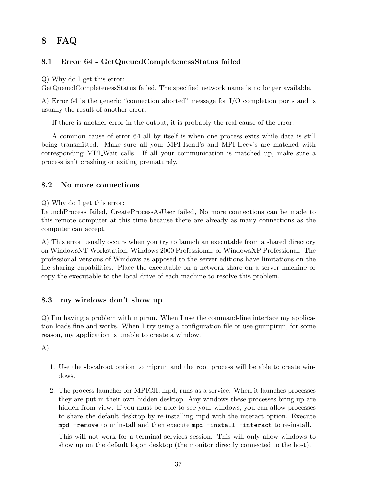# <span id="page-40-0"></span>8 FAQ

# 8.1 Error 64 - GetQueuedCompletenessStatus failed

Q) Why do I get this error:

GetQueuedCompletenessStatus failed, The specified network name is no longer available.

A) Error 64 is the generic "connection aborted" message for I/O completion ports and is usually the result of another error.

If there is another error in the output, it is probably the real cause of the error.

A common cause of error 64 all by itself is when one process exits while data is still being transmitted. Make sure all your MPI Isend's and MPI Irecv's are matched with corresponding MPI Wait calls. If all your communication is matched up, make sure a process isn't crashing or exiting prematurely.

# 8.2 No more connections

Q) Why do I get this error:

LaunchProcess failed, CreateProcessAsUser failed, No more connections can be made to this remote computer at this time because there are already as many connections as the computer can accept.

A) This error usually occurs when you try to launch an executable from a shared directory on WindowsNT Workstation, Windows 2000 Professional, or WindowsXP Professional. The professional versions of Windows as apposed to the server editions have limitations on the file sharing capabilities. Place the executable on a network share on a server machine or copy the executable to the local drive of each machine to resolve this problem.

## 8.3 my windows don't show up

Q) I'm having a problem with mpirun. When I use the command-line interface my application loads fine and works. When I try using a configuration file or use guimpirun, for some reason, my application is unable to create a window.

A)

- 1. Use the -localroot option to miprun and the root process will be able to create windows.
- 2. The process launcher for MPICH, mpd, runs as a service. When it launches processes they are put in their own hidden desktop. Any windows these processes bring up are hidden from view. If you must be able to see your windows, you can allow processes to share the default desktop by re-installing mpd with the interact option. Execute mpd -remove to uninstall and then execute mpd -install -interact to re-install.

This will not work for a terminal services session. This will only allow windows to show up on the default logon desktop (the monitor directly connected to the host).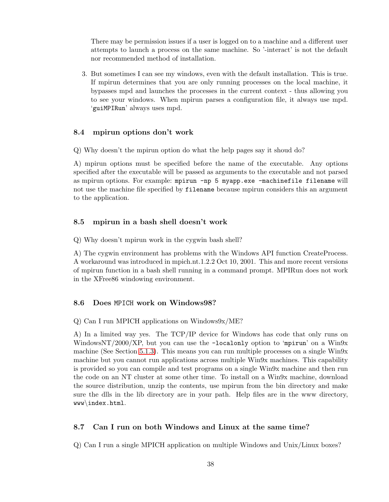<span id="page-41-0"></span>There may be permission issues if a user is logged on to a machine and a different user attempts to launch a process on the same machine. So '-interact' is not the default nor recommended method of installation.

3. But sometimes I can see my windows, even with the default installation. This is true. If mpirun determines that you are only running processes on the local machine, it bypasses mpd and launches the processes in the current context - thus allowing you to see your windows. When mpirun parses a configuration file, it always use mpd. 'guiMPIRun' always uses mpd.

# 8.4 mpirun options don't work

Q) Why doesn't the mpirun option do what the help pages say it shoud do?

A) mpirun options must be specified before the name of the executable. Any options specified after the executable will be passed as arguments to the executable and not parsed as mpirun options. For example: mpirun -np 5 myapp.exe -machinefile filename will not use the machine file specified by filename because mpirun considers this an argument to the application.

## 8.5 mpirun in a bash shell doesn't work

Q) Why doesn't mpirun work in the cygwin bash shell?

A) The cygwin environment has problems with the Windows API function CreateProcess. A workaround was introduced in mpich.nt.1.2.2 Oct 10, 2001. This and more recent versions of mpirun function in a bash shell running in a command prompt. MPIRun does not work in the XFree86 windowing environment.

# 8.6 Does MPICH work on Windows98?

#### Q) Can I run MPICH applications on Windows9x/ME?

A) In a limited way yes. The TCP/IP device for Windows has code that only runs on WindowsNT/2000/XP, but you can use the  $-\text{localonly option to 'mpirun' on a Win9x}$ machine (See Section [5.1.3\)](#page-14-0). This means you can run multiple processes on a single Win9x machine but you cannot run applications across multiple Win9x machines. This capability is provided so you can compile and test programs on a single Win9x machine and then run the code on an NT cluster at some other time. To install on a Win9x machine, download the source distribution, unzip the contents, use mpirun from the bin directory and make sure the dlls in the lib directory are in your path. Help files are in the www directory, www\index.html.

## 8.7 Can I run on both Windows and Linux at the same time?

Q) Can I run a single MPICH application on multiple Windows and Unix/Linux boxes?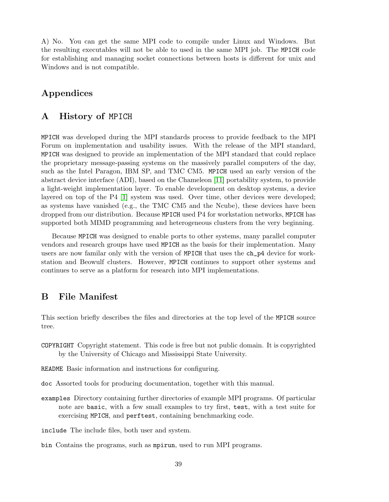<span id="page-42-0"></span>A) No. You can get the same MPI code to compile under Linux and Windows. But the resulting executables will not be able to used in the same MPI job. The MPICH code for establishing and managing socket connections between hosts is different for unix and Windows and is not compatible.

# Appendices

# A History of MPICH

MPICH was developed during the MPI standards process to provide feedback to the MPI Forum on implementation and usability issues. With the release of the MPI standard, MPICH was designed to provide an implementation of the MPI standard that could replace the proprietary message-passing systems on the massively parallel computers of the day, such as the Intel Paragon, IBM SP, and TMC CM5. MPICH used an early version of the abstract device interface (ADI), based on the Chameleon [\[11\]](#page-50-0) portability system, to provide a light-weight implementation layer. To enable development on desktop systems, a device layered on top of the P4 [\[1\]](#page-50-0) system was used. Over time, other devices were developed; as systems have vanished (e.g., the TMC CM5 and the Ncube), these devices have been dropped from our distribution. Because MPICH used P4 for workstation networks, MPICH has supported both MIMD programming and heterogeneous clusters from the very beginning.

Because MPICH was designed to enable ports to other systems, many parallel computer vendors and research groups have used MPICH as the basis for their implementation. Many users are now familar only with the version of MPICH that uses the ch\_p4 device for workstation and Beowulf clusters. However, MPICH continues to support other systems and continues to serve as a platform for research into MPI implementations.

# B File Manifest

This section briefly describes the files and directories at the top level of the MPICH source tree.

COPYRIGHT Copyright statement. This code is free but not public domain. It is copyrighted by the University of Chicago and Mississippi State University.

README Basic information and instructions for configuring.

- doc Assorted tools for producing documentation, together with this manual.
- examples Directory containing further directories of example MPI programs. Of particular note are basic, with a few small examples to try first, test, with a test suite for exercising MPICH, and perftest, containing benchmarking code.

include The include files, both user and system.

bin Contains the programs, such as mpirun, used to run MPI programs.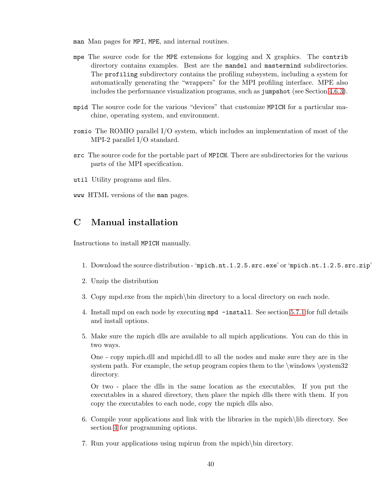- <span id="page-43-0"></span>man Man pages for MPI, MPE, and internal routines.
- mpe The source code for the MPE extensions for logging and X graphics. The contrib directory contains examples. Best are the mandel and mastermind subdirectories. The profiling subdirectory contains the profiling subsystem, including a system for automatically generating the "wrappers" for the MPI profiling interface. MPE also includes the performance visualization programs, such as jumpshot (see Section [4.6.3\)](#page-11-0).
- mpid The source code for the various "devices" that customize MPICH for a particular machine, operating system, and environment.
- romio The ROMIO parallel I/O system, which includes an implementation of most of the MPI-2 parallel I/O standard.
- src The source code for the portable part of MPICH. There are subdirectories for the various parts of the MPI specification.
- util Utility programs and files.
- www HTML versions of the man pages.

# C Manual installation

Instructions to install MPICH manually.

- 1. Download the source distribution 'mpich.nt.1.2.5.src.exe' or 'mpich.nt.1.2.5.src.zip'
- 2. Unzip the distribution
- 3. Copy mpd.exe from the mpich\bin directory to a local directory on each node.
- 4. Install mpd on each node by executing mpd -install. See section [5.7.1](#page-24-0) for full details and install options.
- 5. Make sure the mpich dlls are available to all mpich applications. You can do this in two ways.

One - copy mpich.dll and mpichd.dll to all the nodes and make sure they are in the system path. For example, the setup program copies them to the  $\wedge$  system32 directory.

Or two - place the dlls in the same location as the executables. If you put the executables in a shared directory, then place the mpich dlls there with them. If you copy the executables to each node, copy the mpich dlls also.

- 6. Compile your applications and link with the libraries in the mpich\lib directory. See section [4](#page-6-0) for programming options.
- 7. Run your applications using mpirun from the mpich\bin directory.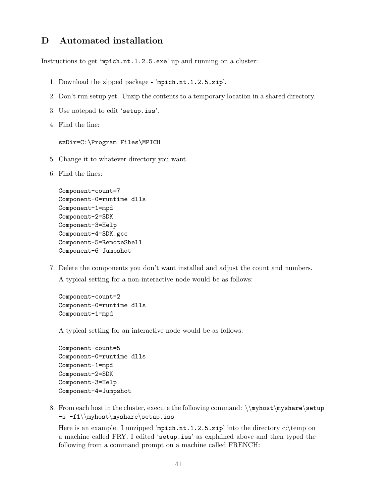# <span id="page-44-0"></span>D Automated installation

Instructions to get 'mpich.nt.1.2.5.exe' up and running on a cluster:

- 1. Download the zipped package 'mpich.nt.1.2.5.zip'.
- 2. Don't run setup yet. Unzip the contents to a temporary location in a shared directory.
- 3. Use notepad to edit 'setup.iss'.
- 4. Find the line:

szDir=C:\Program Files\MPICH

- 5. Change it to whatever directory you want.
- 6. Find the lines:

```
Component-count=7
Component-0=runtime dlls
Component-1=mpd
Component-2=SDK
Component-3=Help
Component-4=SDK.gcc
Component-5=RemoteShell
Component-6=Jumpshot
```
7. Delete the components you don't want installed and adjust the count and numbers.

A typical setting for a non-interactive node would be as follows:

Component-count=2 Component-0=runtime dlls Component-1=mpd

A typical setting for an interactive node would be as follows:

```
Component-count=5
Component-0=runtime dlls
Component-1=mpd
Component-2=SDK
Component-3=Help
Component-4=Jumpshot
```
8. From each host in the cluster, execute the following command:  $\mbox{baryshare}\setminus\mathbb{R}$ -s -f1\\myhost\myshare\setup.iss

Here is an example. I unzipped 'mpich.nt.1.2.5.zip' into the directory c:\temp on a machine called FRY. I edited 'setup.iss' as explained above and then typed the following from a command prompt on a machine called FRENCH: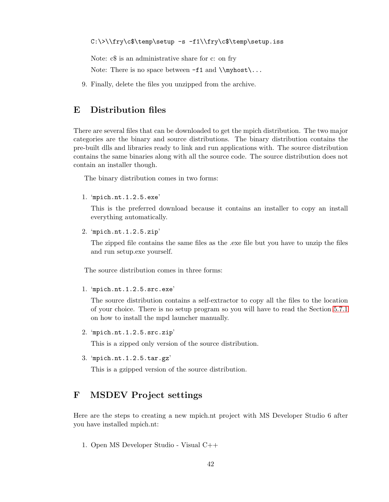<span id="page-45-0"></span>C:\>\\fry\c\$\temp\setup -s -f1\\fry\c\$\temp\setup.iss

Note:  $c\$  is an administrative share for c: on fry

Note: There is no space between  $-f1$  and  $\mbox{\textnormal{\char'1}}$ 

9. Finally, delete the files you unzipped from the archive.

# E Distribution files

There are several files that can be downloaded to get the mpich distribution. The two major categories are the binary and source distributions. The binary distribution contains the pre-built dlls and libraries ready to link and run applications with. The source distribution contains the same binaries along with all the source code. The source distribution does not contain an installer though.

The binary distribution comes in two forms:

1. 'mpich.nt.1.2.5.exe'

This is the preferred download because it contains an installer to copy an install everything automatically.

2. 'mpich.nt.1.2.5.zip'

The zipped file contains the same files as the .exe file but you have to unzip the files and run setup.exe yourself.

The source distribution comes in three forms:

1. 'mpich.nt.1.2.5.src.exe'

The source distribution contains a self-extractor to copy all the files to the location of your choice. There is no setup program so you will have to read the Section [5.7.1](#page-24-0) on how to install the mpd launcher manually.

2. 'mpich.nt.1.2.5.src.zip'

This is a zipped only version of the source distribution.

3. 'mpich.nt.1.2.5.tar.gz'

This is a gzipped version of the source distribution.

# F MSDEV Project settings

Here are the steps to creating a new mpich.nt project with MS Developer Studio 6 after you have installed mpich.nt:

1. Open MS Developer Studio - Visual C++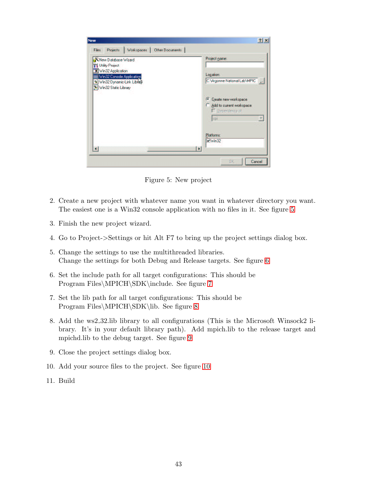<span id="page-46-0"></span>

| WNew Database Wizard<br>Tf Utility Project                      | Project name:                                                                    |
|-----------------------------------------------------------------|----------------------------------------------------------------------------------|
| Win32 Application<br>Win32 Console Application                  | <b>Location:</b>                                                                 |
| <sup>9</sup> Win32 Dynamic-Link Library<br>Win32 Static Library | C:\Argonne National Lab\MPIC   La                                                |
|                                                                 | C Create new workspace<br>Add to current workspace<br>Dependency of:<br>z<br>cpi |
|                                                                 | Platforms:<br>VWm32                                                              |

Figure 5: New project

- 2. Create a new project with whatever name you want in whatever directory you want. The easiest one is a Win32 console application with no files in it. See figure 5
- 3. Finish the new project wizard.
- 4. Go to Project->Settings or hit Alt F7 to bring up the project settings dialog box.
- 5. Change the settings to use the multithreaded libraries. Change the settings for both Debug and Release targets. See figure [6](#page-47-0)
- 6. Set the include path for all target configurations: This should be Program Files\MPICH\SDK\include. See figure [7](#page-47-0)
- 7. Set the lib path for all target configurations: This should be Program Files\MPICH\SDK\lib. See figure [8](#page-48-0)
- 8. Add the ws2 32.lib library to all configurations (This is the Microsoft Winsock2 library. It's in your default library path). Add mpich.lib to the release target and mpichd.lib to the debug target. See figure [9](#page-48-0)
- 9. Close the project settings dialog box.
- 10. Add your source files to the project. See figure [10](#page-49-0)
- 11. Build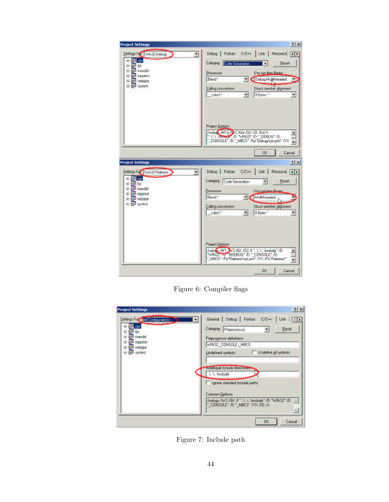<span id="page-47-0"></span>

Figure 6: Compiler flags

| Settings For All Configurations<br>图 cpi<br>閘 hi<br>田<br>图 mandel<br>田 | Debug Fortran<br>General<br>$C/E++$<br>Link<br>Category:<br><b>Reset</b><br>Preprocessor                                   |
|------------------------------------------------------------------------|----------------------------------------------------------------------------------------------------------------------------|
| mpptest<br>田<br>e <sup>ga</sup> netpipe<br>田<br>田 中 systest            | Preprocessor definitions:<br>WIN32, CONSOLE, MBCS<br>Undefine all symbols<br>Undefined symbols:                            |
|                                                                        | Additional include directories.<br>I Ignore standard include paths                                                         |
|                                                                        | <b>Common Options:</b><br>/nologo AV3 /GX /l " \  \  \include" /D "WIN32" /D<br>$\sim$<br>" CONSOLE" /D " MBCS" /YX /FD /c |

Figure 7: Include path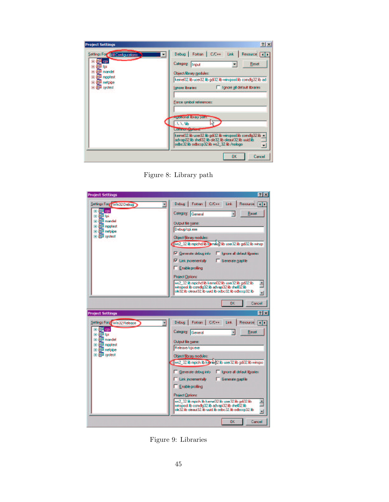<span id="page-48-0"></span>

| <b>Project Settings</b>                                                                                                                | 2x                                                                                                                                                                                                    |
|----------------------------------------------------------------------------------------------------------------------------------------|-------------------------------------------------------------------------------------------------------------------------------------------------------------------------------------------------------|
| Settings For All Configurations<br>田信 <sup>2</sup> cpi<br>信 <sup>門</sup> fpi<br>田<br><b>Ell</b> mandel<br>匣<br><b>Epi mpptest</b><br>田 | Debug   Fortran   C/C++ Link  <br>Resource<br>$\blacksquare$<br>Category:<br><b>Reset</b><br><b>Input</b><br>Object/library modules:<br>kemel32.lib user32.lib gdi32.lib winspool.lib comdlg32.lib ad |
| 信 <sup>例</sup> netpipe<br>匣<br>田 中 systest                                                                                             | I Ignore all default libraries<br><b>Ignore libraries:</b>                                                                                                                                            |
|                                                                                                                                        | <b>Force symbol references:</b>                                                                                                                                                                       |
|                                                                                                                                        | Auditional library path:<br>A.A.Mb<br><b>L'Offmore</b> Septions.                                                                                                                                      |
|                                                                                                                                        | kemel32.lib user32.lib gdi32.lib winspool.lib comdlg32.lib -<br>advapi32.lib shell32.lib ole32.lib oleaut32.lib uuid.lib<br>odbc32.lib odbccp32.lib ws2_32.lib /nologo<br>Ξ                           |
|                                                                                                                                        | <b>OK</b><br>Cancel                                                                                                                                                                                   |

Figure 8: Library path



Figure 9: Libraries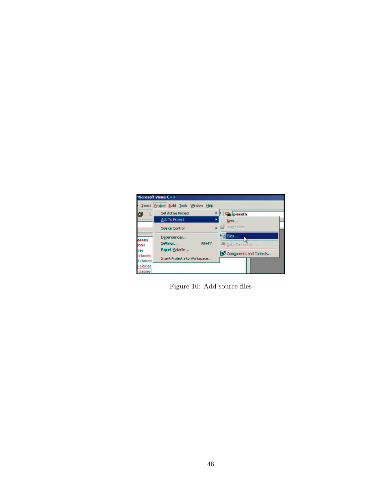<span id="page-49-0"></span>

Figure 10: Add source files